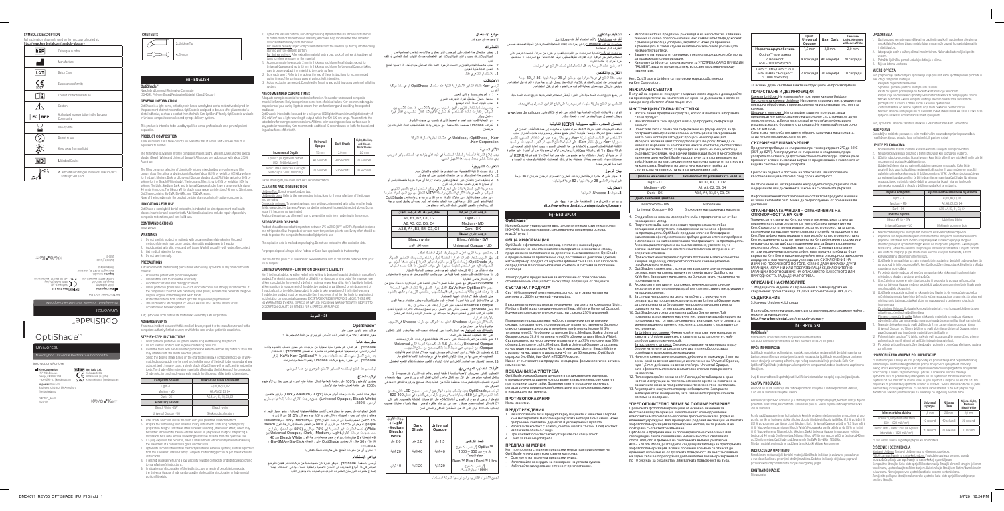DMC4071\_Rev.00 2020-09

# OptiShade™

Instructions For Use **Iniversal** Nanohybrid Universal Restorative Composite **Kerr Corporation** 1717 W Collins Ave. Orange, CA 92867 USA 1-800-KERR-123 | kerrdental.com **Importer:** Ormco B.V. Basicweg 20 NL-3821 BR, Amersfoort The Netherlands **EC REP** Kerr Italia S.r. Via Passanti, 332 84018 Scafati (SA), Italy +39 081 850 8311 | kerrdental.com



OptiShade is a light-cured, esthetic, resin-based nanohybrid dental restorative designed for the placement of direct restorations. OptiShade is designed to be used after placement of a dental adhesive, such as a product from the KaVo Kerr OptiBond™ family. OptiShade is available in Unidose composite compules and syringe delivery systems.

OptiShade™

**KAVO**<sup>B</sup>Kerr

### **en - ENGLISH**

**OptiShade**™ Nanohybrid Universal Restorative Composite

ISO 4049: Polymer-Based Restorative Material, Class 2/Group 1

#### **GENERAL INFORMATION**

This product is intended to be used by qualified dental professionals on a general patient population.

- 1. Do not use this product on patients with known methacrylate allergies. Uncured
- ethacrylate resin may cause contact dermatitis and damage to the pulp. 2. Avoid contact with skin, eyes, and soft tissue. Wash thoroughly with water after contact.
- Get medical attention for eyes.

### **PRODUCT COMPOSITION**

100% Aluminum has a radio-opacity equivalent to that of dentin and 200% Aluminum is equivalent to enamel.

The restorative is available in three composite shades (Light, Medium, Dark) and two special shades (Bleach White and Universal Opaque). All shades are radiopaque with about 250% Aluminum.

- **STEP-BY-STEP INSTRUCTIONS**
- Wear personal protective equipment when using and handling this product. 2. Do not use this product near eugenol-containing products.
- . Clean the tooth with non-fluoridated pumice and water to remove any debris or stain that may code with the shade selection process.

The fillers comprise selection of chemically infused mixed oxides, pre-polymerized filler, barium glass filler, silica, and ytterbium trifluoride (about 81.5% by weight or 65.1% by volum for the Light, Medium, Dark, and Universal Opaque shades, about 78.5% by weight or 60% by volume for the Bleach White shade). The inorganic fillers is up to 75% by weight or 55% by volume. The Light, Medium, Dark, and Universal Opaque shades have a range particle size of 40 nm to 6 microns. The Bleach White shade has a range particle size of 40 nm to 30 microns. OptiShade contains Bis-EMA, Bis-GMA, and TEGDMA resins. None of the ingredients in the product contain pharmacologically active components.

Select the desired shade based on the chart listed below. A composite mock-up or VITA®matched shade guide may be used to check the color of the tooth to be restored and any djacent teeth. In many cases, a single shade of OptiShade will be sufficient to restor tooth. The shade of the restorative material is affected by the thickness of the composite. Shade selection and mock-ups should match the thickness of the tooth to be restored:

#### **INDICATIONS FOR USE**

4. After shade selection, isolate the tooth with your preferred isolation method. 5. Prepare the tooth using your preferred rotary instruments and using contempora

OptiShade, a nanohybrid dental restorative, is indicated for direct placement in all cavity classes in anterior and posterior teeth. Additional indications include: repair of porcelain/ composite restorations, and core build-ups.

### **CONTRAINDICATIONS**

None known.

#### **WARNINGS**

# 4. Do not take internally.

- the placement of a conventional glass ionomer base. 7. OptiShade is compatible with all methacrylate dental adhesive systems, such as a product
- from the KaVo Kerr OptiBond family. Complete the bonding procedure per manufacturer's instructions. 8. If desired, place a liner using a low viscosity flowable composite and light cure according
- to manufacturer's instructions. 9. In situations of discoloration of the tooth structure or repair of porcelain/composite,
- the Universal Opaque shade can be used to block out the discoloration or hide a metal portion if it exists.
- 10. OptiShade features optimal, non-sticky handling. It permits the use of hand instrument to define most of the restoration anatomy, which will help minimize the time and effort
- associated with rotary instrumentation. For Unidose delivery: Inject composite material from the Unidose tip directly into the cavity,
- starting with the deepest portion.<br><u>For Syringe delivery:</u> After extruding material onto a pad, back off syringe at least two full telieve pressure on the material
- Apply composite layers up to 2 mm in thickness each layer for all shades except for Universal Opaque and up to 1.5 mm in thickness each layer for Universal Opaque, taking care to properly adapt the material to the cavity surface.
- Cure each layer\*. Refer to the table at the end of these instructions for recommended curing times of the various shades at various light intensities. Adjust occlusion as needed. Complete the finishing and polishing using preferred polishing
	-

**PRECAUTIONS** ecommends the following precautions when using OptiShade or any other composit material:

- Provide the patient with protective eyewear.
- se a rubber dam to isolate the oral cavity. **woid fluid contamination during placement**
- Use of protective gloves and a no-touch clinical technique is strongly recommended. If he composite is touched with commonly used gloves, acrylate may penetrate the glove. Dispose of glove immediately and wash hands.
- Protect the material from ambient light that may initiate polymerization. The Unidose tips are designed for SINGLE PATIENT USE ONLY to prevent crosscontamination between patients.

Kerr, OptiShade, and Unidose are trademarks owned by Kerr Corporation.

### **ADVERSE EVENTS**

If a serious incident occurs with this medical device, report it to the manufacturer and to the competent authority for that country in which the user and/or patient is established.

Unidose Tips: Do not re-use Unidose tips. Unidose tip guns: Refer to the reprocessing instructions for the manufacturer of the tip gun

u are usinc <u>posite syringes:</u> To prevent syringes from getting contaminated with saliva or other bod<sub>.</sub> fluids, use protective barriers. Always handle the syringe with clean/disinfected gloves. Do not

The SDS for this product is available at: www.kerrdental.com. It can also be obtained from your usual supplie

| <b>Composite Shades</b> | <b>VITA Shade Guide Equivalent</b> |
|-------------------------|------------------------------------|
| Light - LT              | A1, B1, B2, C1, D2                 |
| Medium - MD             | A2, A3, C2, D3, D4                 |
| Dark - DK               | A3.5, A4, B3, B4, C3, C4           |
| <b>Accessory Shades</b> |                                    |
| Bleach White - BW       | Bleach white                       |
| Universal Opaque - UO   | Blocking discoloration             |

preparation designs. OptiShade offers excellent blending (chameleon effect) which may be further enhanced by the use of small bevels on preparation margins. If replacing a restoration, be sure to remove all existing restorative material from the operative site. 6. If a pulp exposure has occurred, place a small amount of calcium hydroxide followed by ً تشتمل الحشوات على مجموعة مختارة من أكاسيد مختلطة محقونة كيميائيا، وحشو مسبق البلمرة، وحشو زجاج الباريوم، والسيليكا، وثالثي فلوريد اإليتربيوم )حوالي 81.5% من الوزن أو 65.1% من الحجم بالنسبة إلى درجات الألوان Light، وDark، وDark، وDark، وDark، وDarsal.<br>Opaque، وحوالي 78.5% من الوزن أو 60% من الحجم بالنسبة إلى درجة اللون Bleach White). تصل الحشوات غير العضوية إلى 75% من الوزن (55% من الحجم). ويتراوح حجم جسيمات درجات األلوان Light، وMedium، وDark، وOpaque Universal بين 40 ً نانومترا و6 ميكرونات. يتراوح حجم جسيمات درجة اللون White Bleach بين 40 نانومترًا و30 ميكرونًا. يحتوي OptiShade على راتنجات Bis-GMA، وBis-GMA. و

# TEGDMA.<br>لا تحتوي أي من مكونات المنتج على مكونات نشطة عقاقيريًا.

ً حدد درجة اللون المطلوبة بناء على الجدول التالي. يمكن استخدام نموذج بالحجم الطبيعي مر كَب أو دليل در جات الألوان المطابَق بواسطة ®VITA للتحقق من لون السن المر اد حشوها وأي أسنان مجاورة لها. وفي حاالت كثيرة، سوف تكون درجة لون واحدة من OptiShade كافية لحشو السن. تتأثر درجة لون مادة الحشو بسُمك المركّب. يجب أن يطابق تحديد درجة

> UO - Opaque Universal ّ حجب تغير اللون .4 بعد تحديد درجة اللون، اعزل السن بطريقة العزل المفضلة لديك. 5. جهّز السن باستخدام الأدوات الدوّارة المفضلة لديك وباستخدام تصميما

يجب اِبلاغ الشركة المُصنّعة والسلطة المختصة في البلد الذي يتواجد فيه المستخدم و/أو المريض

3. قم بتنظيف السن بالخفّان غير المعالج بالفلور والماء لإزالة أي مواد غريبة ملتصقة بالسن أو

system.

### **\*RECOMMENDED CURING TIMES**

Adequate curing is essential for restorative function. Uncured or undercured composite material is far more likely to experience some form of clinical failure. Kerr recommends regular inspections of your curing lights to ensure they are functioning and providing the expected

> .7 OptiShade متوافق مع جميع أنظمة لصق األسنان القائمة على الميثاكريالت، مثل منتج من مجموعة KaVo Kerr OptiBond. أكمل إجراء اللصق وفقًا لتعليمات الجهة المصنعة. 8. إذا أردت، فضع بطانةً باستخدام مركّب قابل للانسياب ومنخفض اللزوجة، وعالجها بالضوء

9. في حالات تغيّر لون بنية السن أو إصلاح البورسلين/المركّب، يمكن استخدام درجة اللون Opaque Universal ّ لحجب تغي ُ ر اللون أو إخفاء جزء معدني إن وجد. .10يتميز OptiShade بملمس مثالي غير الصق. وهو يسمح باستخدام األدوات اليدوية لتحديد غالبية التركيب البنيوي للحشوة، وهو ما سيساعد في اختصار الوقت والجهد المرتبطين بالانوات الدوّارة.<br>بالنسبة للوضع بطرف <u>Unidose:</u> احقن مادة المركّب من طرف Unidose في التجويف

مباشرةً بدايةً من أعمق جزء.<br>بالنسبة للوضع السرنجة: بعد انبثاق المادة على الوسادة، اسحب السرنجة بمقدار لفتين كاملتين<br>على الأقل لتخفيف الضغط على المادة. .11 ّ ضع طبقات من المرك ُ ب بسمك حتى 2 ملم لكل طبقة لجميع درجات األلوان باستثناء Opaque Universal ُ وبسمك حتى 1.5 ملم لكل طبقة لدرجة اللون Universal Opaque، مع الحرص على ضبط المادة بشكل صحيح مع سطح التجويف. .12قم بتصليب كل طبقة\*. راجع الجدول الموجود في نهاية هذه اإلرشادات لمعرفة أوقات التصليب الموصى بها لدرجات الألوان المتنوعة في درجات شدة الإضاءة المتنوعة.<br>13. اضبط الإطباق عند الحاجة. أكمل إجراءات الإنهاء والتلميع مستخدمًا نظام التلميع المفضل.

irradiance. OptiShade is intended to be cured by a halogen or LED light with a minimum light intensity of 650 mW/cm<sup>2</sup> and a light wavelength output within the 400-520 nm range. Please refer to the table below for curing recommendations. All times refer to a single occlusal surface cure. In any posterior restoration, Kerr recommends additional 10 second cures on both the buccal and lingual surfaces of the tooth.

|                                                                              | Universal<br>Opaque | Dark Shade       | Light, Medium,<br>and Bleach<br><b>White Shades</b> |
|------------------------------------------------------------------------------|---------------------|------------------|-----------------------------------------------------|
| <b>Incremental Depth</b>                                                     | $1.5$ mm            | $2.0 \text{ mm}$ | $2.0 \text{ mm}$                                    |
| Optilux™ (or light with output<br>650 - 1000 mW/cm <sup>2</sup> )            | 40 Seconds          | 40 Seconds       | 20 Seconds                                          |
| Demi™ Ultra / Demi™ Plus (or light<br>with output >1000 mW/cm <sup>2</sup> ) | 20 Seconds          | 20 Seconds       | 10 Seconds                                          |

For all other lights, see manufacturer's recommendation.

### **CLEANING AND DISINFECTION**

**Universa Opaque**

> TMOptilux( أو ضوء له خرج يتراوح بين 650 – 1000 ميجاو ات/سم<sup>2</sup>)

emi™ Plus / Demi™ Ultr )أو ضوء له خرج >1000 ميجاو ات/سم<sup>2</sup>)

لجميع الأضواء الأخرى، راجع توصية الشركة المصنعة.

متوقع منها.

reuse if it becomes contaminated. Replace the syringe cap after each use to prevent the resin from hardening in the syringe.

**STORAGE AND DISPOSAL**

- أطراف <u>Unidose:</u> لا تُعِد استخدام أطراف Unidose. مسدسات أطراف Unidose: راجع إجراءات إعادة المعالجة الصادرة عن الجهة المصنعة لمسدس
- الطرف الذي تستخدمه.<br><u>سرنجات المركب:</u> لحماية السرنجات من التلوث باللعاب أو غيره من سوائل الجسم، احرص على ّ استخدام الحواجز الواقية. ارتد قفازات نظيفة/مطه ً رة دوما عند التعامل مع السرنجة. ال تستخدمها مرة أخرى إذا طالها التلوث.
	- أعد وضع غطاء السرنجة بعد كل استعمال لمنع تصلب الراتنج في السرنجة. **التخزين والتخلص**

ويمكن الحصول عليها أيضًا من المورّد المعتاد لديك.

نجنب سد.<br>التمس عناية طبية للعينين .4 لالستخدام الظاهري فقط. **االحتياطات** يجب حفظ المنتج في درجة حرارة بين درجتين إلى 28 درجة مئوية )36 إلى 82 درجة

# تُوصي Kerr باتخاذ التدابير الاحترازية التالية عند استعمال OptiShade أو أي مادة مركّبة

Product should be stored at temperature between 2°C to 28°C (36°F to 82°F). If product is stored in a refrigerator allow the product to reach room temperature prior to use. Every effort should be made to protect the composite from visible light prior to use.

The expiration date is marked on packaging. Do not use restorative after expiration date

أخرى:<br>• زوّد المريض بجهاز وقائي للعين.<br>• استعمل حاجزًا مطاطيًّا لعزل التجويف الفموي. ُ تم وضع تاريخ انتهاء الصالحية على العبوة. يحظر استخدام الحشوة بعد تاريخ انتهاء الصالحية.

For proper disposal always follow Federal or State laws applicable to that country.

### **LIMITED WARRANTY - LIMITATION OF KERR'S LIABILITY**

е предназначен за приложение след поставяне на дентален адхезив, като например продукт от серията OptiBond™ на KaVo Kerr. OptiShade лага в Unidose композитни компюли и системи за поставяне

Kerr's technical advice, whether verbal or in writing, is designed to assist dentists in using Kerr's product. The dentist assumes all risk and liability for damages arising out of the improper use Kerr's product. In the event of a defect in material or workmanship, Kerr's liability is limit at Kerr's option, to replacement of the defective product or part thereof, or reimbursement of the actual cost of the defective product. In order to take advantage of this limited warranty, the defective product must be returned to Kerr. In no event shall Kerr be liable for any indirect, incidental, or consequential damages. EXCEPT AS EXPRESSLY PROVIDED ABOVE, THERE ARE NO WARRANTIES, BY KERR, EXPRESS OR IMPLIED, INCLUDING WARRANTIES WITH RESPECT TO DESCRIPTION, QUALITY, OR FITNESS FOR A PARTICULAR PURPOSE.

> Пълнителите представляват набор от химически влети смесени оксиди, предварително полимеризиран пълнител, пълнител бариево стъкло, силициев диоксид и итербиев трифлуорид (около 81,5% тегловни или 65,1% обемни за цветове Light, Medium, Dark и Universal Opaque, около 78,5% тегловни или 60% обемни за цвят Bleach White). Съдържанието на неорганични пълнители е до 75% тегловни или 55% обемни. Цветовете Light, Medium, Dark и Universal Opaque са с размер на частиците в диапазона 40 nm до 6 микрона. Цветът Bleach White e<br>с размер на частиците в диапазона 40 nm до 30 микрона. OptiShade<br>съдържа бис-ЕМА, бис-GMA и TEGDMA смоли.

### **ar - العربية**

### **OptiShade**™

مركب حشو نانوي هجين عام معيار 4049 ISO: مواد الحشو ذات األساس البوليمري من الفئة /2مجموعة 1

# **معلومات عامة**

OptiShade ّ هو عبارة عن حشوة سنية تجميلية من مركبات نانو هجين تتصلب بالضوء وذات اساس راتنجي، تم تصميمها للوضع كحشوات مباشرة. تم تصميم OptiShade للاستخدام<br>بعد وضع لاصق سني، مثل أحد منتجات مجموعة ™KaVo Kerr OptiBond. يتوفر OptiShade ّ في أجهزة وضع مركبات Unidose ونظم االستخدام بالسرنجة.

### تم تصميم هذا المنتج ليستخدمه أخصائيو األسنان المؤهلون مع عامة المرضى.

**تركيب المنتج**

يحتوي األلومنيوم 100% على عتامة إشعاعية تعادل عتامة عاج السن، في حين يحتوي األلومنيوم 200% على عتامة تعادل عتامة مينا األسنان.

تتوفر مادة الحشو بثالث درجات ألوان مركبة )Light، وMedium، وDark )ولونين خاصين )White Bleach وOpaque Universal ً) . جميع درجات األلوان معتمة إشعاعيا، بمحتوى ألومنيوم .250%

فهرنهايت). عند تخزين المنتج في ثلاجة، اتركه حتى يصل إلى درجة حرارة الغرفة قبل استخدامه. пациентите. Kerr, OptiShade и Unidose са търговски марки, собственост на Kerr Corporation.

- 1. Носете лични предпазни средства, когато използвате и боравите с този продукт. Не използвайте този продукт близо до продукти, съдържащи
- 
- евгенол. 3. Почистете зъба с пемза без съдържание на флуор и вода, за да отстраните евентуалните налични остатъци или замърсявания, .<br>то биха могли да затруднят процеса на избор на цв Изберете желания цвят според таблицата по-долу. Може да се използва наръчник за композитни макети или такъв, съответстващ на разцветките на VITA®, за проверка на цвета на зъба, който ще бъде възстановяван, и на всички прилежащи зъби. В много случаи единичен цвят на OptiShade е достатъчен за възстановяване на зъба. Нюансът на възстановителния материал зависи от плътността на композита. Подборът на цвета и на макетите трябва да ъответства на плътността на възс

**دواعي االستخدام** ُيوصى باستعمال OptiShade، وهو عبارة عن حشوة سنية من مركبات نانو هجين، للوضع

المباشر في كل أنواع التجاويف في الأسنان الأمامية والخلفية. تشمل دواعي الاستخدام أيضًا:<br>إصلاح حشوات البور سلين/الحشوات المركبة، و عمليات بناء وتعزيز اللب.

# **موانع االستعمال**

# ال توجد موانع معروفة.

# **التحذيرات**

1 ـ يُحظر استعمال هذا المنتج على المرضى الذين يعانون حالات مؤكدة من الحساسية من<br>الميثاكريلات قد يسبب راتنج الميثاكريلات غير المتصلب حدوث التهاب الجلد التماسي أو تلف اللب.<br>2. تجنب ملامسة الجلد والعينين والأنسجة الرخوة. اغسل تلك المناطق جيدًا بالماء إذا لامسها المنتج.

واغسل يديك.

<u>За поставяне с шприца:</u> След екструдиране на материала върху<br>блокче изтеглете шприцата поне два пълни оборота, за да освободите натиска върху материала.

• وفر الحماية للمادة ضد الضوء المحيط الذي قد يتسبب في حدوث البلمرة. • أطراف Unidose مصممة »لالستعمال مع مريض واحد فقط« لتجنب انتقال الملوثات بين

مريضين.

Kerr، وOptiShade، وUnidose هي عالمات تجارية مملوكة لشركة

.Kerr Corporation **اآلثار السلبية**

- Никоя от съставките на продукта не съдържа фармакологично активн 11. Нанесете композитните слоеве с дебелина от максимум 2 mm на всеки слой за всички цветове, с изключение на Universal Opaque, и до 1,5 mm дебелина на всеки слой при Universal Opaque, като оформите материала внимателно спрямо повърхността
	- на кавитета. 12. Полимеризирайте всеки слой\*. Разгледайте таблицата в края на тези инструкции за препоръчителното време за изпичане за
	- различните нюанси при различна интензивност на светлината. 13. Ажустирайте оклузията според необходимото. Завършете заглаждането и полирането, като използвате предпочитаната система за полиране.

بأي حادث خطير يحدث بسبب هذا الجهاز الطبي.

**التعليمات التدريجية** 

.1 ِ ارتد معدات الوقاية الشخصية عند استخدام هذا المنتج والتعامل معه. .2 ال تستخدم هذا المنتج بالقرب من منتجات تحتوي على اليوجينول.

> илната фотополимеризация е от основно значение за възстановяващата функция. Неизпеченият или недоизпечен композитен материал е по-вероятно да понесе някаква форма на клинично увреждане. Kerr препоръчва редовни инспекции на лампата за фотополимеризация за гарантиране на това, че тя работи и че осигурява съответното излъчване.

أي صباغ قد يعوق عملية تحديد درجة اللون.

.<br>أيونات الزجاجي التقليدية.

حتى تتصلب طبقًا لإرشادات الجهة المصنعة.

ُ اللون والنماذج بالحجم الطبيعي سمك السن المراد حشوها:

Шприци с композит: Използвайте защитни прегради, за да предотвратите замърсяването на шприците със слюнка или други телесни течности. Винаги използвайте чисти/дезинфекцирани ръкавици, когато боравите с шприцата. Не използвайте повторно, ко се замърси.

**درجات األلوان المركبة مكافئ دليل VITA لدرجات األلوان** A1, B1, B2, C1, D2 Light - LT

يوفر OptiShade مزيجًا متميزًا (وهو ما يُعرف بتأثير الحرباء) يمكن إضافة المزيد من التحسينات إليه عبر استخدام شطبات صغيرة على حواف التجهيز. إذا كنت بصدد استبدال حشوة، فتأكّد من إزّ الة كل مادة الحشو الموجودة من موضع المداخلة السنيّة. 6. ۖ إذا حدث انكشاف للَّب، فضع كمية قليلة من هيدروكسيد الكَالسيوم متبوعًا بوضع قاعدة مقياس

ехническите съвети на Kerr, устни или писмени, имат за цел да подпомогнат стоматолозите при употребата на продуктите на Kerr. Стоматологът поема изцяло риска и отговорността за щети, възникнали вследствие на неправилна употреба на продуктите на Kerr. При дефект на материалите или изработката отговорността на Kerr е ограничена, като по преценка на Kerr дефектният продукт или негова част могат да бъдат подменени или да бъде възстановена реалната стойност на дефектния продукт. С оглед възползване тази ограничена гаранция дефектният продукт трябва да бъде върнат на Kerr. Kerr в никакъв случай не носи отговорност за косвени, .<br>ТНИ ИЛИ ПОСЛАЛВАЩИ УВРАЖДАНИЯ. С ИЗКЛЮЧЕНИЕ НА МАНДЕМИИ ИЗ ПОСОЧЕНОТО ПО-ГОРЕ, KERR НЕ ДАВА НИКАКВИ ДРУГИ<br>13РИЧНО ПОСОЧЕНОТО ПО-ГОРЕ, KERR НЕ ДАВА НИКАКВИ ДРУГИ ГАРАНЦИИ, ИЗРИЧНИ ИЛИ ПОДРАЗБИРАЩИ СЕ, ВКЛЮЧИТЕЛНО ГАРАНЦИИ ПО ОТНОШЕНИЕ НА ОПИСАНИЕТО, КАЧЕСТВОТО ИЛИ ПРИГОДНОСТТА ЗА ДАДЕНА УПОТРЕБА.

**OptiShade**™ ibridni univerzalni restauracijski kompozitni materija

ً من أعمق جزء.

od od 100 % aluminija ima radioneprozirnost istovjetnu s radioneprozirnosti dentina a od 200 % aluminija istovjetnu caklini.

**\*أوقات التصليب الموصى بها**

Nanohibridni restauracijski dentalni materijal OptiShade indiciran je za izravno postavljanje u sve klase šupljina u prednjim i stražnjim zubima. Dodatne indikacije uključuju: popravak porculanskih/kompozitnih restauracija i nadogradnji jezgre.

ّ التصليب الكافي عامل بالغ األهمية بالنسبة لوظيفة الحشو. والمركب الذي ال يتم تصليبه أو ال يكتمل تصليبه سيتعرض على األرجح لشكل ما من أشكال الفشل السريري. توصي Kerr بإخضاع ّ أضواء التصليب لديك لفحوصات منتظمة للتأكد من عملها بشكل صحيح وتوفيرها للتدفق اإلشعاعي

- 1. Ovaj proizvod nemojte upotrebljavati na pacijentima u kojih su utvrđene alergije na metakrilate. Nepolimerizirana metakrilatna smola može izazvati kontaktni dermatitis
- itetiti pulpu. 2. Izbjegavajte dodir s kožom, očima i mekim tkivom. Nakon dodira temeljito isperite
- vodom. 3. Potražite liječničku pomoć u slučaju doticaja s očima. 4. Nije za internu upotrebu.

تم تصميم OptiShade بحيث يتصلب بضوء الهالوجين أو ضوء مصباح LED بأدنى حد من شدة الضوء والتي تبلغ 650 ميجاوات/سم<sup>2</sup> وبخرج طول موجي للضوء في نطاق 400-520 ً نانومترا. يرجى الرجوع إلى الجدول أدناه لالطالع على التوصيات المتعلقة بالتصليب. تشير كل األوقات إلى تصليب سطح إطباقي واحد. في أي حشو خلفي، توصي Kerr بإجراء عمليات تصليب

|                    | _____                   |                                                                            |
|--------------------|-------------------------|----------------------------------------------------------------------------|
| 2, A3, C2, D3, D4  | Medium - MD             | OptiShade™<br>Нанохибриден универсален възстановителен композитен материал |
| A4, B3, B4, C3, C4 | Dark - DK               | ISO 4049: Материали за възстановяване на полимерна основа,                 |
|                    | در جات الألو ان الملحقة | клас 2/група 1                                                             |
| Bleach white       | Bleach White - BW       | <b><i>OBIIIA ИНФОРМАЦИЯ</i></b>                                            |

**Dark Shade**

**درجات األلوان Light، و ،Medium وBleach White**

**العمق التراكمي** 1.5 ملم 2.0 ملم 2.0 ملم

40 ثانية 40 ثانية 20 ثانية

ثوان

إضافية مدتها 10 ثوانٍ على كلّ من السطحين الشدقي واللساني للسن.

A2, A3, C2, D3, D4 A3.5, A4, B3, B4, C3, C4

20 ثانية 20 ثانية 10 ٍ

#### **التنظيف والتطهير**

ّ وينبغي بذل كل جهد ممكن لحماية المركب من الضوء المرئي قبل استخدامه.

- ً للتخلص من المنتج بطريقة سليمة، احرص دوما على اتباع القوانين المعمول بها في بلدك.
- تجنب تلويث السائل أثناء الوضع.<br>• يُوصىي بشدة باستخدام قفازين واقيين وأسلوب سريري لا تلامسي. إذا حدث تلامس بين المركَب والقفازات شائعة الاستخدام، فقد تخترق الأكريلات القفاز. تُخلص من القفاز فورًا تتوفر ورقة بيانات السالمة الخاصة بهذا المنتج على الموقع اإللكتروني: com.kerrdental.www.

## **الضمان المحدود ‐ تقييد مسؤولية KERR القانونية**

- omite štrcaliku za najmanje dva puna okretaja da biste smanjili pritisak na materija
- 11. Nanesite slojeve kompozita svaki debljine do 2 mm za sve nijanse osim za nijansu Universal Opaque i do 1,5 mm debljine za svaki sloj nijanse Universal Opaque, pritom pazeći da pravilno prilagođavate materijal površini šupljine. 12. Polimerizirajte svaki sloj\*. U tablici na kraju ovih uputa potražite preporučeno vrijeme
- polimerizacije raznih nijansi pri različitim intenzitetima svjetlosti. 13. Po potrebi prilagodite zagriz. Završite doradu i poliranje s pomoću preferiranog sustava
- za poliranje.

#### تهدف التوجيهات الفنية لشركة Kerr، سواء شفوية أم مكتوبة، إلى مساعدة أطباء األسنان في استعمال منتج الشركة. ويتحمل طبيب األسنان جميع مخاطر ومسؤوليات حدوث أضرار بسبب االستخدام غير المناسب لمنتج شركة Kerr. وفي حالة وجود عيب في المادة أو التصنيع، تقتصر مسؤولية Kerr، ووفق اختيار Kerr، على استبدال المنتج المعيب أو الجزء المعيب منه أو تسديد التكلفة الفعلية للمنتج المعيب. ولالستفادة من هذا الضمان المحدود، يجب إعادة المنتج المعيب إلى شركة Kerr. وال تكون شركة Kerr في أي حال من األحوال مسؤولة عن أي أضرار غير مباشرة أو عرضية أو الحقة. وباستثناء ما هو منصوص عليه صراحة أعاله، ال تقدم شركة KERR أي ضمانات، سواء كانت صريحة أو ضمنية، بما في ذلك الضمانات المتعلقة بالوصف أو الجودة أو

المالءمة لغرض محدد. **بيان الرموز** 

**.1** جهاز طبي **.2** حدود درجة الحرارة عند التخزين: الصغرى درجتان مئويتان / 36 درجة فهرنهايت والعظمى 28 درجة مئوية / 82 درجة فهرنهايت

**المحتويات** 

**.3** طرف **4** Unidose**.** السرنجة

يوجد شرح كامل للرموز المستخدمة على عبوة Kerr على

# **http://www.kerrdental.com/symbols-glossary**

# **bg - БЪЛГАРСКИ**

# **ОБЩА ИНФОРМАЦИЯ**

Vastavci Unidose: Nastavci Unidose nisu za višekratnu upotreb Pištolji za raspršivanje za nastavke Unidose: Pogledajte upute za ponovnu obradu proizvođača pištolja za raspršivanje za nastavke koji upotrebljavate. K<u>ompozitne štrcaljke:</u> Kako biste spriječili kontaminaciju štrcaljki slinom ili drugim tjelesni tekućinama, upotrebljavajte zaštitne barijere. Uvijek rukujte štrcaljkom čistima, upotrebljavajte zaštitne barijere. Uvijek rukujte štrcaljkom čis rukavicama. Nemojte ponovno upotrebljavati ako postane kontaminirana. .<br>Zamijenite poklopac štrcaljke nakon svake upotrebe kako biste spriječili stvrdnjavanj smole u štrcaljki.

# OptiShade е фотополимеризиращ, естетичен, нанохибриден стоматологичен възстановителен материал на основата на смола, предназначен за поставяне на директни възстановявания. OptiShade

с шприци.

Този продукт е предназначен за използване от правоспособен стоматологичен специалист върху обща популация от пациенти.

**СЪСТАВ НА ПРОДУКТА**

Със 100% алуминий рентгеноконтрастността е равна на тази на дентина, а с 200% алуминий – на емайла.

Възстановителният материал е наличен в три цвята на композита (Light, Medium, Dark) и два специални цвята (Bleach White и Universal Opaque). Всички цветове са рентгеноконтрастни с около 250% алуминий.

компоненти.

**ПОКАЗАНИЯ ЗА УПОТРЕБА**

OptiShade, нанохибриден дентален възстановителен материал, е предназначен за директно поставяне във всички класове кавитет при предни и задни зъби. Допълнителните показания включват: репаратури на порцеланови/композитни възстановявания, както

и изграждане на пънчета. **ПРОТИВОПОКАЗАНИЯ** Няма известни. **ПРЕДУПРЕЖДЕНИЯ**

1. Не използвайте този продукт върху пациенти с известни алергии ъм метакрилати. Неполимеризиралата метакрилатна смола мож да причини контактен дерматит и увреждане на пулпата. 2. Избягвайте контакт с кожата, очите и меките тъкани. След контакт

изплакнете обилно с вода.

3. При контакт с очите се консултирайте със специалист.

4. Само за външна употреба. **ПРЕДПАЗНИ МЕРКИ**

Kerr препоръчва следните предпазни мерки при приложение на

OptiShade или на друг композитен материал: • Осигурете на пациента предпазни очила. Използвайте кофердам за изолиране на устната кухина • Избягвайте замърсяване с течност при поставяне.

• Използването на предпазни ръкавици и на неконтактна клинична техника са силно препоръчителни. Ако композитът бъде докоснат с ръкавици за обща употреба, акрилатът може да проникне в ръкавицата. В такъв случай незабавно изхвърлете ръкавицата

и измийте ръцете си.

• Защитете материала от светлина от околната среда, която би могла

да провокира полимеризация.

• Канюлите Unidose са предназначени за УПОТРЕБА САМО ПРИ ЕДИН ПАЦИЕНТ, за да се предотврати кръстосано заразяване между

**НЕЖЕЛАНИ СЪБИТИЯ**

В случай на сериозен инцидент с медицинското изделие докладвайте на производителя и на компетентния орган за държавата, в която се намира потребителят и/или пациентът.

### **ИНСТРУКЦИИ СТЪПКА-ПО-СТЪПКА**

| Цветове на композита  | <b>Еквивалент по разцветката на VITA</b>                                           |
|-----------------------|------------------------------------------------------------------------------------|
| $Light - LT$          | A <sub>1</sub> , B <sub>1</sub> , B <sub>2</sub> , C <sub>1</sub> , D <sub>2</sub> |
| Medium - MD           | A2, A3, C2, D3, D4                                                                 |
| $Dark - DK$           | A3.5, A4, B3, B4, C3, C4                                                           |
| Допълнителни цветове  |                                                                                    |
| Bleach White - BW     | Избелване                                                                          |
| Universal Opaque - UO | Блокиране на промяната на цвета                                                    |
|                       |                                                                                    |

- 4. След избор на нюанса изолирайте зъба с предпочитания от Вас изолационен метод.
- 5. Подгответе зъба, като използвате предпочитаните от Вас ротационни инструменти и съвременни начини на оформяне на препарацията. OptiShade предлага отлично блендиране (хамелеонов ефект), което може да бъде допълнително подобрено с използване на малки скосявания при границите на препарацията. Ако извършвате подмяна на възстановяване, уверете се, че всички налични възстановителни материали са отстранени от оперативната зона.
- 6. При контакт на материала с пулпата поставете малко количество калциев хидроксид, след което поставете конвенционална гласйономерна основа.
- 7. OptiShade е съвместим с всички метакрилатни дентални адхезивни системи, като например продукт от семейството OptiBond на KaVo Kerr. Завършете нанасянето на бонд съгласно указанията на производителя.
- 8. Ако желаете, поставете подложка с течен композит с нисък вискозитет и фотополимеризирайте в съответствие с инструкциите на производителя.
- 9. За случаи на промяна на цвета на зъбната структура или репаратура на порцелан/композит цветът Universal Opaque може да се използва за отблокиране на промяната на цвета или за
- скриване на част от метала, ако има такъв. 10. OptiShade осигурява оптимална работа без лепнене. Той
- позволява използването на ръчни инструменти за дефиниране на по-голямата част от възстановяваната анатомия, което спомага за минимизиране на времето и усилията, свързани с въртящите се инструменти.
- <u>За Unidose поставяне:</u> Инжектирайте композитния материал от<br>канюлата Unidose директно в кавитета, като започнете с найдълбоко разположения слой.

### **\*ПРЕПОРЪЧИТЕЛНО ВРЕМЕ ЗА ПОЛИМЕРИЗИРАНЕ**

OptiShade е предназначен за полимеризиране с халогенна или светодиодна лампа с минимална интензивност на светлината от 650 mW/cm<sup>2</sup> и дължина на светлинната вълна в диапазона 400 – 520 nm. Моля, разгледайте следващата таблица за препоръките за фотополимеризация. Всички посочени времена се отнасят до .<br>14но изпичане на оклузалната повърхност. За възстано на задни зъби Kerr препоръчва допълнителни полимеризирания от по 10 секунди за букалната и лингвалната повърхност на зъба.

|                                                                                 | Цвят<br><b>Universal</b><br>Opaque | Цвят Dark  | Цветове<br>Light, Medium<br>и Bleach White |
|---------------------------------------------------------------------------------|------------------------------------|------------|--------------------------------------------|
| Нарастваща дълбочина                                                            | $1.5$ mm                           | $2.0$ mm   | $2.0$ mm                                   |
| Optilux™ (или лампа<br>С МОШНОСТ<br>$650 - 1000$ mW/cm <sup>2</sup> )           | 40 секунди                         | 40 секунди | 20 секунди                                 |
| Demi™ Ultra/Demi™ Plus<br>(или лампа с мощност<br>$> 1000$ mW/cm <sup>2</sup> ) | 20 секунди                         | 20 секунди | 10 секунди                                 |

### За всички други светлини вижте инструкциите на производителя. **ПОЧИСТВАНЕ И ДЕЗИНФЕКЦИЯ**

Канюли Unidose: Не използвайте повторно канюли Unidose. Пистолети за канюли Unidose: Направете справка с инструкциите за повторна обработка от производителя на използвания пистолет за канюли.

След всяка употреба поставете обратно капачката на шприцата, за да не се втвърди смолата вътре.

## **СЪХРАНЕНИЕ И ИЗХВЪРЛЯНЕ**

Продуктът трябва да се съхранява при температура от 2°C до 28°C (36°F до 82°F). Ако продуктът се съхранява в хладилник, преди .<br>Ра го оставете да достигне стайна температура. Трябва да се приложат всички възможни мерки за предпазване на композита от видима светлина преди употреба.

Срокът на годност е посочен на опаковката. Не използвайте възстановяващия материал след срока на годност.

По отношение на изхвърлянето на продукта се придържайте към федералните или държавните закони на съответната държава.

Информационният лист за безопасност за този продукт е наличен на: www.kerrdental.com. Може да бъде получен и от обичайния Ви доставчик.

### **ОГРАНИЧЕНА ГАРАНЦИЯ – ОГРАНИЧЕНИЕ НА ОТГОВОРНОСТТА НА KERR**

### **ОПИСАНИЕ НА СИМВОЛИТЕ**

**1.** Медицинско изделие **2.** Ограничения в температурата на съхранение: долна граница 2°C/36°F и горна граница 28°C/82°F

### **СЪДЪРЖАНИЕ**

**3.** Канюла Unidose **4.** Шприца

Пълно обяснение на символите, използвани върху опаковките на Kerr, можете да намерите на **http://www.kerrdental.com/symbols-glossary**

### **hr - HRVATSKI**

ISO 4049: Restauracijski materijal na bazi polimera, klasa 2 / skupina 1

### **OPĆE INFORMACIJE**

tiShade je svjetlom polin bazi smole osmišljen za postavljanje izravnih restauracija. OptiShade je osmišljen za upotrebu nakon stavljanja dentalnog adheziva, npr. nekog proizvoda iz linije proizvoda KaVo Kerr otiBond™. OptiShade je dostupan u kompozitnim kompulama Unidose i sustavima za primjenu

štrcaljkom.

Ovaj bi proizvod trebali upotrebljavati kvalificirani stomatolozi na općoj populaciji pacijenata.

#### **SASTAV PROIZVODA**

Restauracijski proizvod dostupan je u trima nijansama kompozita (Light, Medium, Dark) i dvjema posebnim nijansama (Bleach White i Universal Opaque). Sve su nijanse radioneprozirne s oko 250 % aluminija.

Punila sadržavaju asortiman koji uključuje kemijski prožete miješane okside, predpolimerizirano punilo, punilo od barijevog stakla, silicijev dioksid i iterbijev trifluorid (približno 81,5 % po težini ili<br>65,1 % po volumenu za nijanse Light, Medium, Dark i Universal Opaque, približno 78,5 % po težini ili 60 % po volumenu za nijansu Bleach White). Neorganska punila udjela su do 75 % po težini ili 55 % po volumenu. Nijanse Light, Medium, Dark i Universal Opaque imaju raspon veličina čestica od 40 nm do 6 mikrometara. Nijansa Bleach White ima raspon veličina čestica od 40 nm do 30 mikrometara. OptiShade sadržava smole Bis-EMA, Bis-GMA i TEGDMA. Iijedan sastojak proizvoda ne sadržava farmakološki aktivne komponente

#### **INDIKACIJE ZA UPOTREBU**

### **KONTRAINDIKACIJE**

Nije poznato.

#### **UPOZORENJA**

## **MJERE OPREZA**

Kerr preporučuje sljedeće mjere opreza koje valja poduzeti kada upotrebljavate OptiShade ili neki drugi kompozitni materijal:

- Pacijentu dajte zaštitne naočale.
- S pomoću gumene plahtice izolirajte usnu šupljinu. - Pazite da tijekom postavljanja ne dođe do kontaminacije tekućinom.<br>- Preporučuje se da svakako upotrebljavate zaštitne rukavice te primjenjujete kliničku<br>- tehniku bez dodira. Ako se kompozit dodiruje obi pdrijeti kroz rukavicu. Odmah bacite rukavicu i operite ruke.
- Zaštitite materijal od okolne svjetlosti, koja može pokrenuti polimerizaciju. • Nastavci Unidose namijenjeni su za UPOTREBU SAMO NA JEDNOM PACIJENTU kako bi se spriječila unakrsna kontaminacija između pacijenata.

### Kerr, OptiShade i Unidose zaštitni su znakovi u vlasništvu tvrtke Kerr Corporation.

#### **NUSPOJAVE**

Sve ozbiljne incidente povezane s ovim medicinskim proizvodom prijavite proizvođaču i nadležnom tijelu u državi u kojoj se korisnik i/ili pacijent nalazi.

#### **UPUTE PO KORACIMA**

1. Nosite osobnu zaštitnu opremu kada se koristite i rukujete ovim proizvodom. 2. Ne upotrebljavajte ovaj proizvod u blizini proizvoda koji sadržavaju eugenol. 3. Očistite zub plovućcem bez fluora i vodom kako biste uklonili sve ostatke ili mrlje koje bi mogle omesti postupak odabira nijanse.

Odaberite željenu nijansu na temelju tablice navedene u nastavku. Kako biste provjerili boju zuba koji zahtijeva restauraciju ili susjednih zuba možete se poslužiti oglednim primjerkom kompozita ili šablonom nijansi VITA®. U velikom broju slučajeva za restauraciju zuba dovoljna će biti jedna nijansa materijala OptiShade. Na nijansu restauracijskog materijala utječe debljina kompozita. Odabir nijanse i oglednih primjeraka moraju biti u skladu s debljinom zuba koji se restaurira:

| Nijanse kompozita     | Nijanse ujednačene s VITA nijansama |
|-----------------------|-------------------------------------|
| Light - LT            | A1, B1, B2, C1, D2                  |
| Medium - MD           | A2, A3, C2, D3, D4                  |
| Dark - DK             | A3.5, A4, B3, B4, C3, C4            |
| Dodatne nijanse       |                                     |
| Bleach White - BW     | Izbijeljena bijela                  |
| Universal Opaque - UO | Blokiranje promjene boje            |

- 4. Nakon odabira nijanse izolirajte zub metodom koja vam najbolje odgovara. 5. Pripremite zub željenim rotacijskim instrumentima i primjenom suvremene izvedbe pripreme. OptiShade nudi izvrsno uklapanje (efekt kameleona) koje je moguće dodatno poboljšati upotrebom blagih kosina na marginama preparata. Ako mijenjate restauraciju, obavezno uklonite sav postojeći restauracijski materijal s mjesta zahvata.
- 6. Ako dođe do izlaganja pulpe, stavite malu količinu kalcijeva hidroksida, a zatim konvencionalnu staklenoionomernu bazu. 7. OptiShade je kompatibilan sa svim metakrilatnim sustavima dentalnih adheziva, kao što
- su proizvodi iz linije proizvoda KaVo Kerr OptiBond. Završite postupak lijepljenja u skladu s uputama proizvođača. 8. Po potrebi stavite podlogu od tekućeg kompozita niske viskoznosti i polimerizirajte
- svjetlošću u skladu s uputama proizvođača.
- 9. U slučajevima promjene boje strukture zuba ili popravljanja porculana/kompozita, nijansa Universal Opaque može se upotrijebiti za blokiranje promjene boje ili sakrivanje metalnog dijela ako postoji.
- 10. OptiShade omogućuje optimalno rukovanje bez lijepljenja. On omogućuje upotrebu ručnih instrumenata kako bi se definirala većina restauracijske anatomije, što pridonosi minimiziranju trajanja postupka i uloženog napora u vezi s upotrebom rotacijskih

instrumenata.<br><u>Za primjenu Unidose:</u> Ubrizgajte kompozitni materijal s vrha kompule Unidose izravno u šupljinu počevši od najdubljeg dijela.<br><u>Primjena s pomoću štrcaljke:</u> Nakon istiskivanja materijala na podlogu obavezno

### **\*PREPORUČENO VRIJEME POLIMERIZACIJE**

Za restauracijsku funkciju ključna je odgovarajuća polimerizacija. Kod nepolimeriziranog ili nedovoljno polimeriziranog materijala postoji mnogo veća vjerojatnost izazivanja nekog oblika kliničkog zatajenja. Kerr preporučuje da redovitim pregledima provjeravate funkcioniraju li svjetla za polimerizaciju i pružaju li očekivanu količinu zračenja. .<br>OptiShade služi za polimerizaciju halogenim ili LED svjetlom uz minimaln svjetlosti od 650 mW/cm<sup>2</sup> te izlaznu valnu duljinu svjetlosti u rasponu od 400 do 520 nm. Preporuke za polimerizaciju potražite u tablici u nastavku. Sva se vremena odnose na jednu polimerizaciju okluzijske površine. Za sve restauracije stražnjih zuba Kerr preporučuje dodatnih 10 sekundi polimerizacije i na bukalnoj i na lingvalnoj površini zuba.

|                                                                                    | Universal<br>Opaque | Nijansa<br>Dark | Nijanse Light,<br>Medium i<br><b>Bleach White</b> |
|------------------------------------------------------------------------------------|---------------------|-----------------|---------------------------------------------------|
| Inkrementalna dubina                                                               | $1.5$ mm            | $2.0$ mm        | $2.0$ mm                                          |
| Optilux™ (ili svjetlost intenziteta<br>650 - 1000 mW/cm <sup>2</sup> )             | 40 sekundi          | 40 sekundi      | 20 sekundi                                        |
| Demi™ Ultra / Demi™ Plus (ili svjetlost<br>intenziteta > 1000 mW/cm <sup>2</sup> ) | 20 sekundi          | 20 sekundi      | 10 sekundi                                        |

Za sva ostala svietla pogledajte preporuku proizvođača

### **ČIŠĆENJE I DEZINFEKCIJA**

|                                                                             | http://www.kerrdental.com/symbols-glossary                             | 3. Unidose Tip                                                                                                                                                                                   |  |  |
|-----------------------------------------------------------------------------|------------------------------------------------------------------------|--------------------------------------------------------------------------------------------------------------------------------------------------------------------------------------------------|--|--|
| <b>REF</b>                                                                  | Catalogue number                                                       | 4. Syringe                                                                                                                                                                                       |  |  |
|                                                                             | Manufacturer                                                           |                                                                                                                                                                                                  |  |  |
| LOT                                                                         | Batch Code                                                             |                                                                                                                                                                                                  |  |  |
| $C_{2797}$                                                                  | European conformity                                                    | $en -$<br>OptiShade <sup>™</sup>                                                                                                                                                                 |  |  |
| Ŧ                                                                           | Consult instructions for use                                           | Nanohybrid Universal Restorative Composit<br>ISO 4049: Polymer-Based Restorative Materi                                                                                                          |  |  |
|                                                                             | Caution                                                                | <b>GENERAL INFORMATION</b><br>OptiShade is a light-cured, esthetic, resin-ba<br>the placement of direct restorations. OptiSha                                                                    |  |  |
| Authorized representative in the European<br><b>REP</b><br>EC.<br>Community |                                                                        | dental adhesive, such as a product from the<br>in Unidose composite compules and syring                                                                                                          |  |  |
|                                                                             | Use-by date                                                            | This product is intended to be used by quali<br>population.                                                                                                                                      |  |  |
|                                                                             | Do not re-use                                                          | PRODUCT COMPOSITION<br>100% Aluminum has a radio-opacity equiva                                                                                                                                  |  |  |
|                                                                             | Keep away from sunlight                                                | equivalent to enamel.                                                                                                                                                                            |  |  |
| MD                                                                          | 1. Medical Device                                                      | The restorative is available in three composi<br>shades (Bleach White and Universal Opaque<br>Aluminum.                                                                                          |  |  |
| 28°C<br>(82°F)<br>(36°F                                                     | 2. Temperature Storage Limitations: Low 2°C/36°F<br>and High 28°C/82°F | The fillers comprise selection of chemically<br>barium glass filler, silica, and ytterbium triflu<br>for the Light, Medium, Dark, and Universal O<br>volume for the Bleach White shade). The inc |  |  |

### **SYMBOLS DESCRIPTION**

Full explanation of symbols used on Kerr packaging located at**:** 

| 3. Unidose Tip |
|----------------|
| 4. Syringe     |

#### **CONTENTS**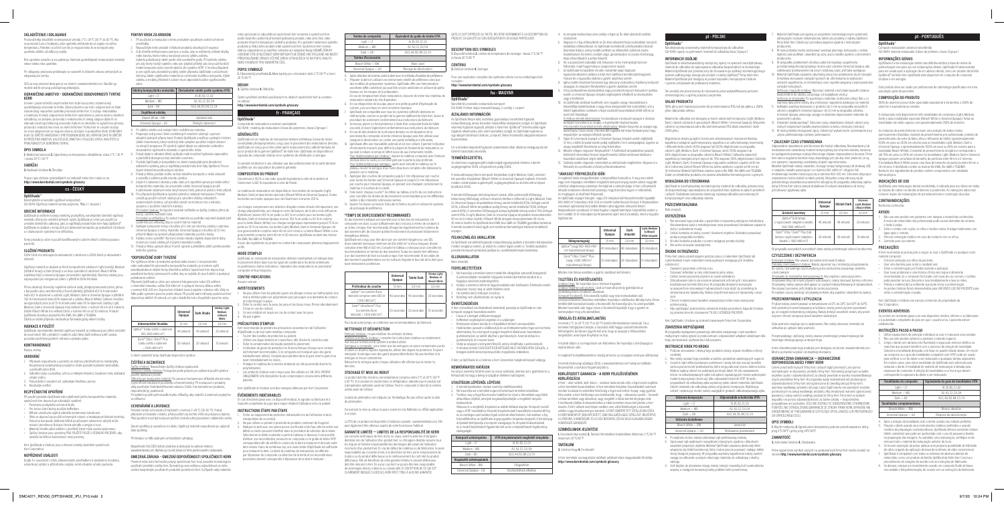#### **POKYNY KROK ZA KROKEM**

1. Při používání a manipulaci s tímto produktem používejte osobní ochranné prostředky. .<br>Zívejte tento produkt v blízkosti produktů obsahujících euge 3. Zub očistěte nefluorovanou pemzou a vodou, aby se odstranily veškeré zbytky

ne bohou procesené poznačale v rebou, boj se postran.<br>Poo barviva, která mohou narušovat proces výběru odstínu. Vyberte požadovaný odstín podle níže uvedeného grafu. Při kontrole ods pro zub, který má být vyplněn, nebo pro jakýkoli přilehlý zub, lze použit funkční model kompozitu nebo vzorník odstínů dle systému VITA®. V mnoha případech je pro výplň zubu dostatečný jediný odstín přípravku OptiShade v průsvitnosti skloviny. Odstín výplňového materiálu je ovlivňován tloušťkou kompozitu. Výběr odstínu a modely přiložené k zubům musí odpovídat tloušťce vyplňovanéh

### Universal Opaque – UO Blokující zabarvení 4. Po výběru odstínu zub izolujte Vámi osvědčenou metodou. 5. Preparujte zub pomocí Vámi osvědčených rotačních nástrojů a pomocí aktuálně platných příprav kavit. Produkt OptiShade umožňuje vynikající míchání (efekt chameleona), který může být dále vylepšen použitím malých zkosení na okrajích preparace. Při výměně výplně dbejte na odstranění veškerého

Bleach White – BW Vybělená bílá

### zubu: **Odstíny kompozitního materiálu Ekvivalentní odstín podle systému VITA**  $\frac{1}{10}$  – Light – LT – LT – LT – A1, B1, B2, C1, D2 Medium – MD  $A2, A3, C2, D3, D4$  $Dark - DK$   $A3.5, A4, B3, B4, C3, C4$ **Doplňkové odstíny**

- ovou funkci je nezbytná správná doba tvrzení. U nevytvrzenéh nebo nedostatečně vytvrzeného kompozitního materiálu je mnohem vyšší pravděpodobnost nějaké formy klinického selhání. Společnost Kerr doporučuje pravidelné kontroly vytvrzovacích světel, aby se zajistilo, že jsou funkční a poskytují požadované ozáření. Přípravek OptiShade je určen pro vytvrzení halogenovým nebo LED světlem
- s minimální intenzitou světla 650 mW/cm<sup>2</sup> a výstupní vlnovou délkou světla v rozmezí 400–520 nm. Doporučení ohledně tvrzení najdete v tabulce níže. Vždy se řiďte podle vytvrzení povrchu jedné okluze. Při použití zadní náhrady společnost Kerr doporučuje dalších 10 sekund, a to jak u bukálního tak u lingválního povrchu zubu.
- dosavadního výplňového materiálu z operačního místa. 6. Pokud dojde k odhalení dřeně, aplikujte malé množství hydroxidu vápenatého a pak běžně dostupnou bázi skelného ionomeru.
- <sup>7</sup>. Produkt OptiShade je kompatibilní se všemi metakrylátovými dentálním vstémy, jako je například produkt KaVo Kerr řady OptiBond. Proces
- lepení dokončete podle pokynů výrobce. 8. Pokud je třeba, použijte vložku na bázi tekutého kompozitu o nízké viskozitě
- a vytvrďte ji světlem podle návodu výrobce. 9. Dojde-li k zabarvení struktury zubu nebo je-li zapotřebí oprava porcelánového/ kompozitního materiálu, lze univerzální odstín Universal Opaque použít
- k zablokování zabarvení nebo skrytí kovové části, pokud se jedná o tento případ. ro přípravek OptiShade je typická optimální, nelepivá manipulace. Produkt umožňuje použití ručních nástrojů pro vytvoření většiny náhradních
- anatomických struktur, což pomáhá omezit na minimum čas a námahu spojenou s použitím rotačních nástrojů. balení Unidose: Kompozitní materiál vstříkněte ze špičky Unidose přímo do kavity; začněte nejhlubší částí. Pro balení se stříkačkou: Po extruzi materiálu na podložku nejméně dvakrát plně
- veterální horizonské představe představe představe Aplikujte kompozitní vrstvy o tloušťce až 2 mm pro všechny odstíny s výjimk Universal Opaque a vrstvy materiálu Universal Opaque o tloušťce až 1,5 mm,
- přičemž dbejte na správné přizpůsobení materiálu povrchu kavity. 12. Každou vrstvu vytvrďte\*. Na konci tohoto návodu najdete doporučené doby
- tvrzení pro různé odstíny při různých intenzitách světla. 13. Pokud je třeba, upravte okluzi. Povrch upravte a přeleštěte užitím preferovaného lešticího systému.

### Bezpečnostní list (SDS) tohoto produktu je dostupný na webové stránce: w.kerrdental.com. Můžete jej rovněž získat od Vámi preferovaného dodavatel

**OMEZENÁ ZÁRUKA – OMEZENÍ ODPOVĚDNOSTI SPOLEČNOSTI KERR**  Písemné nebo ústní technické pokyny společnosti Kerr mají usnadnit stomatologům používání produktů značky Kerr. Stomatolog nese veškerou odpovědnost za rizika vzniklá nesprávným používáním produktů společnosti Kerr. V případě vady mat

nebo zpracování je odpovědnost společnosti Kerr omezená a společnost Ker podle vlastního uvážení buď nahradí poškozený produkt, nebo jeho část, nebo poskytne finanční kompenzaci vadného produktu. Pro uplatnění reklamace vadného produktu je třeba tento produkt vrátit společnosti Kerr. Společnost Kerr nenese žádnou odpovědnost za nepřímé, náhodné ani následné škody. KROMĚ ZÁRUKY UVEDENÉ VÝŠE SPOLEČNOST KERR NEPOSKYTUJE ŽÁDNÉ JINÉ VÝSLOVNÉ ANI MLČKY PŘEDPOKLÁDANÉ ZÁRUKY VČETNĚ ZÁRUK VZTAHUJÍCÍCH SE NA POPIS, KVALITU NEBO VHODNOST PRO KONKRÉTNÍ ÚČEL.

### **\*DOPORUČENÉ DOBY TVRZENÍ**

Composite de restauration universel nanohybride ISO 4049 : matériau de restauration à base de polymères, classe 2/groupe

tiShade est un matériau de restauration dentaire esthétique à base de résin nanohybride photopolymérisée, conçu pour le placement des restaurations directes. OptiShade est conçu pour être utilisé après le placement d'un adhésif dentaire, tel qu'un produit de la gamme OptiBond™ de KaVo Kerr. OptiShade est disponible en capsules de composite Unidose et en systèmes de distribution à seringue.

oduit est destiné à une utilisation par des professionnels de la santé dentaire qualifiés sur une population de patients générale.

inium à 100 % a une radio-opacité équivalente à celle de la dentine et l'aluminium à 200 % équivalente à celle de l'émail.

tériau de restauration est disponible en trois teintes de composite (Light Medium, Dark) et deux teintes spéciales (Bleach White et Universal Opaque). Toutes les teintes sont radio-opaques avec de l'aluminium à environ 250 %.

|                                                                                     | Universal<br>Opaque | Dark Shade | Odstíny Light,<br>Medium<br>a Bleach<br>White |
|-------------------------------------------------------------------------------------|---------------------|------------|-----------------------------------------------|
| Inkrementální hloubka                                                               | $1.5$ mm            | $2.0$ mm   | $2.0$ mm                                      |
| Optilux™ (nebo světlo s výkonem<br>650-1000 mW/cm <sup>2</sup> )                    | 40 sekund           | 40 sekund  | 20 sekund                                     |
| Demi™ Ultra / Demi™ Plus<br>(nebo světlo s výkonem<br>$> 1000$ mW/cm <sup>2</sup> ) | 20 sekund           | 20 sekund  | 10 sekund                                     |

Les charges comprennent une sélection d'oxydes mixtes infusés chimiquement, une charge prépolymérisée, une charge en verre de baryum, de la silice et du trifluorure d'ytterbium (environ 81,5 % en poids ou 65,1 % en volume pour les teintes Light, Medium, Dark et Universal Opaque, environ 78,5 % en poids ou 60 % en volume pour la teinte Bleach White). Les charges inorganiques représentent jusqu'à 75 % en poids ou 55 % en volume. Les teintes Light, Medium, Dark et Universal Opaque ont une granulométrie comprise entre 40 nm et 6 microns. La teinte Bleach White a une trie comprise entre 40 nm et 30 microns. OptiShade contient des résines Bis-EMA, Bis-GMA et TEGDMA.

U všech ostatních lamp dodržujte doporučení výrobce.

### **ČIŠTĚNÍ A DEZINFEKCE**

1. Ne pas utiliser chez les patients ayant une allergie connue au méthacrylate. Une résine méthacrylate non-polymérisée peut provoquer une dermatite de contact

- et endommager la pulpe. 2. Éviter le contact avec la peau, les yeux et les tissus mous. Rincer abondamment
- à l'eau en cas de contact 3. En avis médical est requis en cas de contact avec les yeux.
- Ne pas ingérer.

- Špičky Unidose: Nepoužívejte špičky Unidose opakovaně. Dávkovací pistole Unidose: Postupujte podle pokynů pro opětovné použití výrobce použité dávkovací pistole.
- Stříkačky pro kompozitní materiál: Pro prevenci kontaminace stříkaček slinami nebo jinými tělními tekutinami používejte ochranné bariéry. Při manipulaci s produkty vždy používejte čisté/dezinfikované rukavice. Došlo-li ke kontaminaci produktu,
- používejte jej opakovaně. Po každém použití opět nasaďte krytku stříkačky, aby nedošlo k zatuhnutí pryskyřice ve stříkačce.

### **UCHOVÁVÁNÍ A LIKVIDACE**

- ande de prendre les précautions suivantes lors de l'utilisation
- tiShade ou de tout autre matériau composite : • Fournir des lunettes de protection au patient.
- Utiliser une digue dentaire en caoutchouc afin d'isoler la cavité buccale • Éviter la contamination de liquide pendant le placement.
- L'utilisation de gants de protection et d'une technique clinique sans contact est fortement recommandée. Si le composite est manipulé avec des gants habituellement utilisés, l'acrylate peut pénétrer dans le gant. Jeter le gant et se laver immédiatement les mains. • Protéger le matériau de la lumière ambiante car elle pourrait déclencher la

embouts Unidose sont conçus pour être utilisés sur UN SEUL PATIENT UNIQUEMENT, afin d'empêcher toute contamination croisée entre différents

- Produkt má být uchováván při teplotách v rozmezí 2–28 °C (36–82 °F). Pokud přípravek uchováváte v lednici, před použitím jej nechte ohřát na pokojovou teplotu. Před použitím musí být kompozit pečlivě chráněn před působením viditelného světla.
- Datum spotřeby je vyznačeno na obalu. Výplňový materiál nepoužívejte po uplynutí data spotřeby.

cas d'incident grave avec ce dispositif médical, le signaler au fabricant et à l'autorité compétente du pays dans lequel résident l'utilisateur et/ou le patient.

2. Ne pas utiliser ce produit à proximité de produits contenant de l'eugénol. 3. Nettoyer la dent avec une pierre ponce non fluorée et de l'eau afin de retirer tout débris ou tache pouvant interférer dans la procédure de sélection de la teinte. Sélectionner la teinte souhaitée à partir du tableau ci-dessous. Il est possible d'utiliser une reconstitution provisoire en composite ou le guide de teinte VITA® correspondant afin de vérifier la couleur de la dent à restaurer et de toute autre dent voisine. Dans de nombreux cas, une seule teinte d'OptiShade est suffisante pour restaurer la dent. La teinte du matériau de restauration est affectée par l'épaisseur du composite. La sélection de la teinte et les reconstitutions res doivent correspondre à l'épaisseur de la dent à restaurer :

Při likvidaci se řiďte platnými vnitrostátními předpisy.

6. En cas d'exposition de la pulpe, placer une petite quantité d'hydroxyde de calcium, puis une base en verre ionomère classique. 7. OptiShade est compatible avec tous les systèmes adhésifs dentaires en méthacrylate, comme un produit de la gamme OptiBond de KaVo Kerr. Suivre la prédure de scellement conformément aux instructions du fabrican 8. Au besoin, placer un fond protecteur à l'aide d'un composite fluide de faible viscosité, et durcir légèrement conformément aux instructions du fabricant. 9. En cas de décoloration de la structure dentaire ou de réparation de la porcelaine/du composite, la teinte Universal Opaque peut être utilisée pour masquer la décoloration ou cacher une partie métallique si elle existe. 10. OptiShade offre une maniabilité optimale et est non collant. Il permet l'utilisation d'instruments manuels pour définir la plupart de l'anatomie de restauration, ce qui aide à réduire le temps et l'effort associés aux instruments rotatifs. our l'administration par Unidose : injecter le matériau composite avec l'embout lose dans la cavité, en commençant par la partie la plus profonde <u>Pour l'administration par seringue :</u> après avoir extrudé le matériau sur le<br>plateau, reculer la seringue d'au moins deux tours complets afin d'abaisser la

### **POPIS SYMBOLŮ**

**1.** Zdravotnický prostředek **2.** Meze teploty pro uchovávání: dolní 2 °C/36 °F a horní 28 °C/82 °F

#### **OBSAH 3.** Špička Unidose **4.** Stříkačka

Úplné vysvětlení symbolů používaných na obalech společnosti Kerr je uvedeno

### **OptiShade**™

11. Appliquer des couches de composite jusqu'à 2 mm d'épaisseur par couche pour toutes les teintes sauf Universal Opaque et jusqu'à 1,5 mm d'épaisseur ar couche pour Universal Opaque, en prenant soin d'adapter correctement le

### **GÉNÉRALITÉS**

12. Faire durcir chaque couche\*. Se référer au tableau à la fin de ces instructions pour connaître les durées de durcissement recommandées pour les différentes

Ajuster l'occlusion au besoin. Exécuter la finition et polir en utilisant le système

OptiShade est conçu pour être durci par une lumière halogène ou une DEL d'une intensité lumineuse minimum de 650 mW/cm2 et d'une longueur d'onde comprise entre 400 et 520 nm. Consulter le tableau ci-dessous pour connaître les recommandations en termes de durcissement. Toutes les durées font référence à un durcissement de face occlusale unique. Kerr recommande 10 secondes de durcissement supplémentaires sur les surfaces linguale et buccale de la dent pou

**Profondeur de couche**  $\left| \right| 15 \text{ mm} \left| 2.0 \text{ mm} \right| 2.0 \text{ mm}$ 

#### **COMPOSITION DU PRODUIT**

P<u>istolets à embouts Unidose :</u> consulter les instructions relatives au retraitement<br>fournies par le fabricant du pistolet à embout utilisé. fournies par le fabricant du pistolet à embout utilisé.<br><u>Seringues à composite :</u> pour éviter que les seringues ne soient contaminées par de la salive ou d'autres liquides organiques, utiliser des digues de protection. Toujours manipuler la seringue avec des gants propres/désinfectés. Ne pas réutiliser si la

Le produit doit être stocké à une température comprise entre 2 °C et 28 °C (36 °F à 82 °F). Si le produit est stocké dans un réfrigérateur, attendre que le produit soit ature ambiante avant de l'utiliser. Tenir le composite à l'abri de la lumière

Aucun des ingrédients du produit ne contient de composants pharmacologiquement actifs.

### **MODE D'EMPLOI**

OptiShade, un composite de restauration dentaire nanohybride, est indiqué dans le placement direct dans tous les types de cavités dans les dents antérieures et postérieures. Autres indications : réparation des restaurations en porcelain composite et faux moignons.

> La FDS de ce produit est disponible à l'adresse suivante : www.kerrdental.com. Elle<br>peut également être obtenue auprès de votre fournisseur habituel. ement être obtenue auprès de votre fournisseur habituel. **GARANTIE LIMITÉE — LIMITES DE LA RESPONSABILITÉ DE KERR**  Les conseils techniques de Kerr, écrits ou oraux, visent à aider les chirurgiensdentistes lors de l'utilisation d'un produit Kerr. Le chirurgien-dentiste assur les risques et l'entière responsabilité des dommages découlant de l'utilisation correcte d'un produit Kerr. En cas de défaut de matériau ou de fabrication, la seule responsabilité du la discrétion de Kerr, est le rempl la pièce ou du produit défectueux ou le remboursement du coût réel du produit défectueux. Afin de bénéficier de cette garantie limitée, le produit défectueux<br>doit être retourné à Kerr. En aucun cas Kerr ne pourra être tenu responsable<br>de dommages directs, indirects ou consécutifs. À L'EXCEPTION DE C CLAIREMENT INDIQUÉ CI-DESSUS, KERR N'EST TENU À AUCUNE GARANTIE,

#### **CONTRE-INDICATIONS**

#### Aucune connue.

### **AVERTISSEMENTS**

# na adrese: **http://www.kerrdental.com/symbols-glossary fr - FRANÇAIS**

#### **PRÉCAUTIONS D'EMPLOI**

polymérisation.

Az OptiShade nanohibrid fogászati restaurálóanyag javallott a közvetlen behelyezésr minden üregtípus esetén, az elülső és a hátsó fogak esetén is. További javallatok: porcelán/kompozit protézisek javítása és csonkfelépítmények kialakítása.

patients.

1. Ne használja a terméket ismert metakrilát-allergiában szenvedő betegekné A polimerizálatlan metakrilát műgyanta kontakt dermatitist okozhat és a

Kerr, OptiShade et Unidose sont des marques détenues par Kerr Corporation.

**ÉVÉNEMENTS INDÉSIRABLES**

**INSTRUCTIONS ÉTAPE PAR ÉTAPE** 

1. Porter un équipement de protection individuelle lors de l'utilisation et de la

manipulation de ce produit.

Bleach White – BW | Világosfehér Universal Opaque – UO Elszíneződések elfedése

A1, B1, B2, C1, D

**Teintes de composite Équivalent du guide de teinte VITA**

**Teintes d'accessoire**

En cas de remplacement d'une restauration, s'assurer de retirer tout matériau de

restauration existant du site d'opération.

A1, B1, B2, C1, D2

- idroxidot, majd hagyományos üvegionomer alapot.
- 7. Az OptiShade kompatibilis minden metakrilát-alapú fogászati
- ragasztórendszerrel, például a KaVo Kerr OptiBond termékcsalád tagjaival. ezze be a ragasztási eljárást a gyártó utasításai szerint. Igény esetén készítsen bevonatot egy alacsony viszkozitású, folyékony kompozit
- yaggal, és végezzen fénykezelést a gyártó utasításai szerint. 9. A fog szerkezetének elszíneződése vagy porcelán/kompozit restauráció javítása esetén a Universal Opaque árnyalat segítségével elfedhető az elszíneződés
- agy a fémfelület. 10. Az OptiShade ideálisan kezelhető, nem ragadós anyag. Használatával a rreállítás kialakításának a nagy része elvégezhető kézi eszközökkel, ami a
- lehető legkisebbre csökkenti a forgó eszközök használatával töltött időt és az ezzel járó fáradságot. A Unidose termék alkalmazása: Fecskendezze a kompozit anyagot a Unidose
- tartályból közvetlenül az üregbe, a legmélyebb részével kezdve. <u>A fecskendős kiszerelésű termék alkalmazása:</u> Miután kinyomta az anyagot egy<br>keverőlapra, húzza vissza a fecskendőt legalább két teljes fordulatnyival, hogy megszűnjön az anyagra kifejtett nyomás.
- 11. Vigye fel a kompozit anyagot a Universal Opaque árnyalat esetén legfeljebb 1,5 mm, a többi árnyalat esetén pedig legfeljebb 2 mm vastagságban, ügyelve az anyag megfelelő illesztésére az üreg felszínéhez.
- 12. Minden rétegen végezzen fénykezelést\*. A különböző árnyalatokhoz javasolt, különböző intenzitású fénnyel végzett kezelési időket tartalmazó táblázat e használati utasítások végén található.
- 13. Szükség esetén végezzen módosítást az okklúziónak megfelelően. Végezze el a finírozást és a polírozást a kívánt polírozórendszerrel.

<u>Unidose hegy:</u> Ne használja újra a Unidose hegyeket.<br><u>Unidose hegyhez való pisztoly:</u> Lásd az használt pisztoly gyártójának az újrafeldolgozásra vonatkozó utasításait.

s<sub>i</sub>cisáságszása vendűeze dideliden.<br>Kompozit fecskendő: A fecskendők nyállal vagy más testnedvekkel való .<br>Lelkerülése érdekében használjon védőburkot. Mindig tiszta, illetve fertőtlenített kesztyűvel kezelje a fecskendőt. Ne használja újra, ha szennyeződött. Minden használat után tegye vissza a fecskendő kupakját, hogy a gyanta ne

pression sur le matériau.

A lejárati dátum a csomagoláson van feltüntetve. Ne használja a tömőanyagot a lejárati dátum után.

matériau à la surface de la cavité.

ntes à des intensités lumineuses variées

de polissage de préférence.

**\*TEMPS DE DURCISSEMENT RECOMMANDÉS** Un durcissement adéquat est essentiel pour la fonction de restauration. Un composite non durci ou pas suffisamment durci est plus à même de conduire à un échec carrière de la campanisation de la carrière de l'inspecter régulièrement les lu durcissement afin de s'assurer qu'elles fonctionnent et produisent l'éclairement

iseaux sur les marges de la préparation.

énergétique attendu.

toute restauration postérieure

**Universal Opaque Teinte Dark Teintes Light,** 

0 secondes 20 secondes

secondes 1 10 seconde

**Medium, et Bleach White**

Medium — MD  $\overline{A}$  A2, A3, C2, D3, D4 Dark — DK A3.5, A4, B3, B4, C3, C4

Bleach White — BW Blanc Javel Universal Opaque — UO Blocage de décoloration 4. Après sélection de la teinte, isoler la dent avec la méthode d'isolation de préférence. Préparer la dent en utilisant vos instruments rotatifs de préférence ainsi que des modèles de préparation modernes. OptiShade offre une harmonisation excellente (effet caméléon) qui peut être encore améliorée en utilisant de petits

Optilux™ (ou lumière d'une ensité comprise entre 650 et 1 000 mW/cm2 )

Demi™ Ultra/Demi™ Plu (ou lumière d'une itensité > 1 000 mW/cm<sup>2</sup>

Pour toute autre lampe, se conformer aux recommandations du fabricant.

**NETTOYAGE ET DÉSINFECTION**  Embouts Unidose : ne pas réutiliser les embouts Unidose.

- Nie stosować tego produktu u pacjentów z rozpoznana alergia na metakrylan lieutwardzona żywica metakrylanowa może powodować kontaktowe zapalenie skóry i uszkodzenie miazgi. 2. Unikać kontaktu ze skórą, oczami i tkankami miękkimi. Dokładnie przepłukać
- wodą w przypadku kontaktu. 3. W razie kontaktu produktu z oczami zasięgnąć porady okulisty. 4. Nie wolno stosować wewnętrznie.

seringue se trouve contaminée.

Reboucher la seringue après chaque utilisation afin d'éviter que la résine n'y

durcisse.

**STOCKAGE ET MISE AU REBUT**

- 1. Podczas stosowania i obsługi tego produktu należy używać środków ochrony osobistej.
- <sup>2. 2. N</sup>ie należy używać tego produktu w pobliżu produktów zawierających eugeno 3. Oczyścić ząb niefluoryzowanym pumeksem i wodą, tak aby usunąć wszelkie zanieczyszczenia lub przebarwienia, które mogą zaburzać proces doboru koloru. Wybrać żądany odcień na podstawie poniższej tabeli. W celu sprawdzenia
- koloru na odbudowywanym zębie lub zębach sąsiadujących można wykorzystać model kompozytowy (mock-up) albo odpowiedni kolornik VITA®. W wielu przypadkach do odbudowy zęba wystarczy jeden odcień materiału OptiShade. Odcień materiału do odbudowy zależy od grubości kompozytu. Wybierając odcień i wykonując model, należy uwzględnić grubość odbudowy

visible avant de l'utiliser.

La date de péremption est indiquée sur l'emballage. Ne pas utiliser après la date

de péremption.

à ce pay.

Concernant la mise au rebut, toujours suivre les lois fédérales ou d'État applicables

4. Po wybraniu koloru należy odizolować ząb preferowaną metodą. 5. Opracować ząb wybranymi narzędziami rotacyjnymi, zgodnie z aktualnymi zasada zapisycznym narzydziami roddojnymi, zgodnie z andamijimi<br>ami preparacji ubytków. Materiał OptiShade zapewnia doskonały efek wtapiania się (efekt kameleona), który można jeszcze poprawić, nadając lekkie skosy brzegom preparacji. W przypadku wymiany wypełnienia należy zwrócić uwag przegom preparacjii w przypadna wymiany wypomionia ni<br>wagę na całkowite usunięcie obecnego materiału do odbudow

- Materiał OptiShade jest zgodny ze wszystkimi stomatologicznymi systemam adhezyjnymi na bazie metakrylanów, takimi jak produkty z rodziny OptiBond firmy KaVo Kerr. Zakończyć procedurę wiązania zgodnie z instrukcjami producenta.
- W razie potrzeby można zastosować warstwę płynnego ko lepkości jako podkład i utwardzić go przy użyciu światła zgodnie z zaleceniami producenta.
- 9. W przypadku przebarwień struktury zęba lub naprawy uzupełnienia lanowego/kompozytowego można użyć odcienia Universal Opaque, aby
- ablokować przebarwienie lub ukryć metalową część, jeśli taka występuje. 10. Materiał OptiShade zapewnia optymalną pracę, bez przyklejania się do narzędzi. Umożliwia stosowanie narzędzi ręcznych do uformowania w większości anatomii wypełnienia, co minimalizuje czas i wysiłek związany z wykorzystaniem narzędzi rotacyjnych.

QU'ELLE SOIT EXPRESSE OU TACITE, RELATIVE NOTAMMENT À LA DESCRIPTION DU PRODUIT, SA QUALITÉ OU SON ADÉQUATION À UN USAGE PARTICULIER.

**DESCRIPTION DES SYMBOLES** 

**1.** Dispositif médical **2.** Limites de température de stockage : basse 2 °C/36 °F et haute 28 °C/82 °F

Pour une explication complète des symboles utilisés sur les emballages Kerr,

Az OptiShade fényre kötő, esztétikai, gyantaalapú nanohibrid fogász restaurálóanyag, amely közvetlen helyreállítás elvégzésére szolgál. Az OptiShade valamely fogászati ragasztó, például a KaVo Kerr OptiBond™ termékcsalád egyik tagjának alkalmazása után való használatra szolgál. Az OptiShade kapható az egy adagot tartalmazó Unidose "compule", illetve fecskendős adagolórendszere

**CONTENU** 

**3.** Embout Unidose **4.** Seringue

- niej dwa pełne obroty, aby zmniejszyć naprężenia działające na materiał. Nakładać warstwy kompozytu o grubości do 2 mm w przypadku wszystkich
- odcieni z wyjątkiem Universal Opaque i do 1,5 mm w przypadku odcienia Universal Opaque, zwracając uwagę na właściwe dopasowanie materiału do zchni ubytku.
- 12. Utwardzić każdą warstwę\*. Zalecane czasy utwardzania różnych odcieni przy różnych natężeniach światła zawiera tabela na końcu niniejszej instrukcji. 13. W razie potrzeby skorygować zgryz. Zakończyć wykańczanie i polerowanie przy
- użyciu preferowanego systemu polerowania.

consulter : **http://www.kerrdental.com/symbols-glossary**

**hu - MAGYAR**

**OptiShade**™

Nanohibrid univerzális restaurációs kompozit ISO 4049: Polimer alapú restaurálóanyag, 2. osztály, 1. csoport

**ÁLTALÁNOS INFORMÁCIÓK**

viednie utwardzenie jest kluczowe dla funkcji odbudowy. Nieutwardzony lub edostatecznie utwardzony materiał kompozytowy jest znacznie bardziej narażony na wystąpienie pewnego rodzaju klinicznego objawu niepowodzenia leczenia. Firma Kerr zaleca regularne kontrole lamp utwardzających, tak aby mieć pewność, że są one sprawne i zapewniają oczekiwany stopień napromieniania. Materiał OptiShade należy utwardzić, stosując lampę halogenową lub diodową LED, o natężeniu światła wynoszącym co najmniej 650 mW/cm2 i długości fali emitowanego światła mieszczącej się w zakresie 400–520 nm. Zalecenia dotyczące utwardzania można znaleźć w tabeli poniżej. Wszystkie czasy odnoszą się do jednokrotnego utwardzania powierzchni okluzyjnej. W przypadku odbudowy zębów tylnych firma Kerr zaleca zawsze dodatkowe 10 sekund utwardzania od strony policzkowej i językowej zęba.

kiszerelésben.

Ezt a terméket képesített fogászati szakemberek általi, általános betegpopuláción

történő használatra tervezték. **TERMÉKÖSSZETÉTEL**

> z końcówkami.<br><u>Strzykawki do materiałów kompozytowych:</u> Aby zapobiec zanieczyszczeniu strzykawek śliną lub innymi płynami ustrojowymi, należy stosować bariery ochronne. Strzykawkę należy zawsze obsługiwać w czystych/zdezynfekowanych rękawiczkach. Nie używać ponownie, jeśli dojdzie do zanieczyszczenia.

sugárgyengítése 100%, a fogzománcé pedig 200%.

A restaurálóanyag három kompozit árnyalatban (Light, Medium, Dark), valamint két speciális árnyalatban (Bleach White és Universal Opaque) kapható. A termék minden színárnyalata sugárelnyelő; sugárgyengítésük az alumíniumhoz képest

körülbelül 250%.

anyagot.

A termék töltőanyagai: kémiailag kevert oxidok, előre polimerizált töltőanyag, báriumüveg töltőanyag, szilícium-dioxid és itterbium-trifluorid (a Light, Medium, Dark és Universal Opaque árnyalatokban tömeg szerint körülbelül 81,5%, térfogat szerint 65,1%, a Bleach White árnyalatban pedig tömeg szerint körülbelül 78,5%, térfogat szerint 60%). A szervetlen töltőanyagok aránya legfeljebb tömeg szerint 75%, térfogat szerint 55%. A Light, Medium, Dark és Universal Opaque árnyalatok részecskemérete 40 nm és 6 mikron közötti. A Bleach White árnyalat részecskemérete 40 nm és 30 mikron közötti. Az OptiShade bisz-EMA, bisz-GMA és TEGDMA gyantákat tartalmaz. A termék összetevői közül egyik sem tartalmaz farmakológiai hatással rendelkező

**FELHASZNÁLÁSI JAVALLATOK**

ogpulpa sérülését eredményezheti.

Rok upotrebe označen je na pakiranju. Nemojte upotrebljavati restauracijski materija nakon isteka roka upotrebe.

> **ELLENJAVALLATOK** Nem ismertek. **FIGYELMEZTETÉSEK**

alaposan mossa meg az adott felületet vízzel. 3. Ha szembe kerül, forduljon orvoshoz. 4. Belsőleg nem alkalmazható, ne nyelje le.

**ÓVINTÉZKEDÉSEK**

A Kerr a következő óvintézkedések betartását javasolja az OptiShade és más

kompozit anyagok használata esetén: .<br>Lássa el a beteget védőszemüvegge • Kofferdam segítségével szigetelje el a szájüreget. • Behelyezés közben kerülje el a folyadékkal történő szennyeződést. • Határozottan javasolt a védőkesztyű és az érintkezésmentes fogorvosi technika alkalmazása. Ha a kompozit anyagot megérinti általánosan használatos gumikesztyűvel, az akrilát átjuthat a gumikesztyűn. Azonnal dobja ki a gumikesztyűt, és mosson kezet. • Védje az anyagot a környezeti fénytől, amely elindíthatja a polimerizációt. • A Unidose termék CSAK EGYETLEN BETEGEN VALÓ HASZNÁLATRA SZOLGÁL, a betegek közötti keresztszennyeződés megelőzése érdekében. A Kerr, az OptiShade és a Unidose a Kerr Corporation tulajdonát képező védjegy.

**NEMKÍVÁNATOS HATÁSOK**

Ha súlyos esemény történik ezzel az orvosi eszközzel, jelentse azt a gyártónak és a

felhasználó és/vagy a beteg országában illetékes hatóságnak.

**UTASÍTÁSOK LÉPÉSRŐL LÉPÉSRE** 

1. A termék kezelésekor viseljen személyi védőfelszerelést.

.<br>2. Kerülje a szemmel, bőrrel és lágyszövetekkel való érintkezést. Érintkezés eseté

ágát egységnyinek tekintve a dentir

2. Ne használja ezt a terméket eugenolt tartalmazó termékek közelében. 3. Tisztítsa meg a fogat fluormentes habkővel és vízzel a törmelékek vagy foltok eltávolítása céljából, amelyek megakadályozhatják a megfelelő árnyalat

- 1. Přípravek nepoužívejte u pacientů se známou přecitlivělostí na metakryláty.
- Nevytvrzená metakrylátová pryskyřice může způsobit kontaktní dermatitidu a poškodit zubní dřeň. 2. Zabraňte styku s pokožkou, očima a měkkými tkáněmi. Zasažené místo důkladně
- 
- omyjte vodou. 3. Pokud došlo k zasažení očí, vyhledejte lékařskou pomoc. 4. Neužíveite vnitřně.

kiválasztását.

Válassza ki a megfelelő árnyalatot az alábbi táblázat alapján. Kompozit modell vagy a VITA® mutatójához illesztett árnyalatmutató használható a kezelendő fog és az esetleges szomszédos fogak színének ellenőrzésére. Sok esetben a fog helyreállításához az OptiShade anyag egyetlen árnyalata elegendő. A tömőanyai árnyalatát befolyásolja a kompozit vastagsága. Az árnyalat kiválasztásánál és a modell készítésénél figyelembe kell venni a helyreállítandó fogállomány

- Pacientovi poskytněte ochranné brýle. • Pro izolaci ústní dutiny použijte kofferdam.
- Během umisťování výplně zabraňte kontaminaci tekutinami. Vřele se doporučuje použití ochranných rukavic a bezdotykové klinické tec Pokud se kompozitu dotknete běžně používanými rukavicemi, akrylát může
- rukavicí proniknout. Rukavici ihned vyhoďte a umyjte si ruce. • Materiál chraňte před světlem z prostředí, které může vyvolat polymeraci. Špičky Unidose jsou vytvořeny PRO POUŽITÍ POUZE U JEDNOHO PACIENTA, aby
- nedošlo ke křížové kontaminaci mezi pacienty.

vastagságát:

**Kompozit színárnyalata VITA árnyalatmutató megfelelő árnyalata**

9/7/20 10:24 PM<br>9/7/20 10:24 PM

Medium – MD  $\overline{A}$  A2, A3, C2, D3, D4 Dark – DK <br>
A3.5, A4, B3, B4, C3, C4

**Kiegészítő színárnyalatok**

A restauração está disponível em três tonalidades de compostos (Light, Medium, Dark) e duas tonalidades especiais (Bleach White e Universal Opaque). Todas as tonalidades são rádio-opacas com aproximadamente 250% de alumínio. Os materiais de preenchimento incluem uma seleção de óxidos mistos quimicamente infundidos, material de preenchimento pré-polimerizado, material de preenchimento de vidro de bário, sílica e trifluoreto de itérbio (aproximadamente 81,5% em peso ou 65,1% em volume para as tonalidades Light, Medium, Dark e Universal Opaque, e aproximadamente 78,5% em peso ou 60% em volume para a tonalidade Bleach White). O material de preenchimento inorgânico corresponde a é 75% em peso ou 55% em volume. As tonalidades Light, Medium, Dark e Universal Opaque possuem uma faixa de tamanho de partícula entre 40 nm a 6 mícrons. A tonalidade Bleach White possui uma faixa de tamanho de partícula entre 40 nm a 30 mícrons. A OptiShade contém as resinas Bis-EMA, Bis-GMA e TEGDMA. lenhum dos ingredientes do produto contem componentes com atividade

- 4. Az árnyalat kiválasztása után izolálja a fogat az Ön által választott izolálási
- módszerrel. 5. Végezze el a fog előkészítését az Ön által választott forgó eszközökkel, korszerű kialakítású előkészítéssel. Az OptiShade kiemelkedő színilleszkedést biztosít (kaméleonhatás), amely tovább javítható az előkészítés széleinek enyhe lesarkításával. Ha tömés cseréjét végzi, gondoskodjon az összes tömőanyag teljes eltávolításáról a pótlás helyéről.

#### 6. Ha a pulpaszövet szabaddá vált, helyezzen rá kis mennyiségű kalcium-

armacológica **INDICAÇÕES DE USO**

Se ocorrer um incidente grave com este dispositivo médico, informe-o ao fabricante autoridade competente do país em que o usuário e/ou o paciente estiv

**Tonalidades do composto Equivalente do guia de tonalidades VITA** Light — LT A1, B1, B2, C1, D2  $Median - MD$   $A2, A3, C2, D3, D4$ Dark — DK **A3.5, A4, B3, B4, C3, C4** 

### **\*JAVASOLT FÉNYKEZELÉSI IDŐK**

Bleach White — BW Branco absoluto Universal Opaque — UO Bloqueio da descoloração 4. Após a seleção da tonalidade, isole o dente usando seu método preferido. 5. Prepare o dente usando seus instrumentos rotativos preferidos e usando modelos de preparação contemporâneos. OptiShade oferece excelente mistura (efeito camaleão) que pode ser aprimorada com o uso de pequenos biseles na preparação das margens. Ao substituir uma restauração, certifique-se de remover todo o material da restauração anterior do local.

A megfelelő kötés elengedhetetlen a helyreállítási funkcióhoz. A meg nem kötött vagy nem elégséges mértékben megkötött kompozit anyag esetén sokkal nagyobb a klinikai elégtelenség valamilyen formájának a valószínűsége. A Kerr a fénykezelő lámpák rendszeres ellenőrzését javasolja, hogy biztosítva legyen a működésük, és meglegyen az elvárható fényerejük.

Az OptiShade anyagot halogén- vagy LED-lámpával kell fotopolimerizálni legalább 650 mW/cm2 intenzitású, 400–520 nm közötti hullámhosszú fénnyel. A fénykezelésre vonatkozó ajánlásokat lásd alább. Minden adat egyetlen okkluzális felszín fénykezelésére vonatkozik. A hátsó fogakon végzett bármilyen helyreállítás esetén a Kerr további 10–10 másodpercnyi fénykezelést ajánl mind a bukkális, mind a linguális

fogfelszínen. **Universal Opaque Dark árnyalat Light, Medium és Bleach** 

|  |                                                                                    | Opague   | arnyalat                    | White árnyalat                         |
|--|------------------------------------------------------------------------------------|----------|-----------------------------|----------------------------------------|
|  | Rétegvastagság                                                                     | $1.5$ mm | $2.0$ mm                    | $2.0$ mm                               |
|  | Optilux <sup>™</sup> (vagy 650-1000 mW/<br>cm <sup>2</sup> teljesítményű lámpa)    |          |                             | 40 másodperc 40 másodperc 20 másodperc |
|  | Demi™ Ultra / Demi™ Plus<br>(vagy >1000 mW/cm <sup>2</sup><br>teljesítményű lámpa) |          | 20 másodperc   20 másodperc | 10 másodperc                           |

Minden más lámpa esetében a gyártó utasításait kell követni.

### **TISZTÍTÁS ÉS FERTŐTLENÍTÉS**

# keményedjen meg a fecskendőben.

**TÁROLÁS ÉS ÁRTALMATLANÍTÁS**

A termék 2 °C és 28 °C (36 °F és 82 °F) közötti hőmérsékleten tárolandó. Ha a terméket hűtőgépben tárolják, a használat előtt hagyja szobahőmérsé felmelegedni. Gondosan ügyelni kell arra, hogy az anyagot a felhasználás megelőzően semmilyen fényhatás ne érje.

A megfelelő hulladékkezeléshez mindig tartsa be az országban érvényes előírásokat.

A termék biztonsági adatlapja (SDS) a www.kerrdental.com honlapon található. Beszerezheti a szokásos forgalmazójától is.

# **KORLÁTOZOTT GARANCIA – A KERR FELELŐSSÉGÉNEK**

### **KORLÁTOZÁSA**

A Kerr – akár szóbeli, akár írásos – szakmai tanácsainak célja a fogorvosok segítése a Kerr termékek használatában. A Kerr termékek helytelen használatából származó minden kockázat és kártérítési felelősség a fogorvost terheli. Anyag- vagy gyártási hiba esetén a Kerr felelőssége arra korlátozódik, hogy – választása szerint – kicseréli a hibás terméket vagy alkatrészt, vagy megtéríti a hibás termék tényleges árát. E korlátozott jótállás érvényesítéséhez a hibás terméket vissza kell juttatni a Kerr részére. A Kerr vállalat semmilyen esetben sem vállal felelősséget a közvetett,<br>véletlen vagy következményes károkért. A FENT ISMERTETETT JÓTÁLLÁSON KÍVÜL A KERR NEM NYÚJT SEM KIFEJEZETT, SEM HALLGATÓLAGOS JÓTÁLLÁST, BELEÉRTVE A LEÍRÁSRA, A MINŐSÉGRE ÉS AZ EGY BIZONYOS CÉLRA VALÓ ALKALMASSÁGRA VONATKOZÓ GARANCIÁT.

### **SZIMBÓLUMOK JELENTÉSE**

**1.** Orvostechnikai eszköz **2.** Tárolási hőmérséklet-határértékek: Minimum 2 °C/36 °F, maximum 28 °C/82 °F

**TARTALOM** 

**3.** Unidose hegy **4.** Fecskendő

A Kerr termékek csomagolásán található jelölések teljes magyarázatát itt találja: **http://www.kerrdental.com/symbols-glossary**

### **pl - POLSKI**

**OptiShade**™

Nanohybrydowy uniwersalny materiał kompozytowy do odbudów ISO 4049: oparty na polimerach materiał do odbudów, klasa 2/grupa 1

### **INFORMACJE OGÓLNE**

OptiShade to światłoutwardzalny, estetyczny, oparty na żywicach nanohybrydowy materiał do odbudów do wykonywania odbudów bezpośrednich w stomatologii. Materiał OptiShade jest przeznaczony do stosowania po aplikacji stomatologicznego systemu adhezyjnego, takiego jak produkt z rodziny OptiBond™ firmy KaVo Kerr. Materiał OptiShade jest dostępny w postaci kapsułek z kompozytem Unidose i systemu strzykawek do podawania materiału.

Ten produkt jest przeznaczony do stosowania przez wykwalifikowany personel stomatologiczny u ogólnej populacji pacjentów.

### **SKŁAD PRODUKTU**

100% glinu jest nieprzepuszczalne dla promieniowania RTG, tak jak zębina, a 200% glinu odpowiada szkliwu.

Materiał do odbudów jest dostępny w trzech odcieniach kompozytu (Light, Medium, Dark) i dwóch odcieniach specjalnych (Bleach White i Universal Opaque). Wszystkie odcienie są nieprzepuszczalne dla promieniowania RTG dzięki zawartości około 250% glinu.

Wypełniacze obejmują wybór chemicznie wtryskiwanych mieszanek tlenków, wypełniacz wstępnie spolimeryzowany, wypełniacz ze szkła barowego, krzemionkę i trifluorek iterbu (około 81,5% wagowo lub 65,1% objętościowo w przypadku odcieni Light, Medium, Dark i Universal Opaque, około 78,5% wagowo lub 60% objętościowo w przypadku odcienia Bleach White). Całkowita zawartość wypełniaczy nieorganicznych wynosi do 75% wagowo (55% objętościowo). Odcienie Light, Medium, Dark i Universal Opaque mają zakres wielkości cząstek od 40 nm do 6 mikronów. Odcień Bleach White ma zakres wielkości cząstek od 40 nm do 30 mikronów. Materiał OptiShade zawiera żywice Bis-EMA, Bis-GMA oraz TEGDMA.

Żaden ze składników produktu nie zawiera składników farmakologicznie czynnych.

#### **WSKAZANIA DO STOSOWANIA**

OptiShade to nanohybrydowy stomatologiczny materiał do odbudów, przeznaczony do bezpośredniego wprowadzania do wszystkich klas ubytków w zębach przednich i tylnych. Dodatkowe wskazania obejmują: naprawę odbudów porcelanowych/ kompozytowych oraz odbudowy rdzenia.

**PRZECIWWSKAZANIA**

#### Brak znanych.

### **OSTRZEŻENIA**

#### **ŚRODKI OSTROŻNOŚCI**

Firma Kerr zaleca przestrzeganie podczas pracy z materiałem OptiShade lub z jakimkolwiek innym materiałem kompozytowym następujących środków ostrożności:

- Zapewnić pacjentowi ochronę oczu. • Stosować koferdam w celu odizolowania jamy ustnej.
- Unikać zanieczyszczenia płynami w czasie nakładania.
- Zdecydowanie zaleca się noszenie rękawiczek ochronnych i stosowanie bezdotykowej techniki klinicznej. W przypadku dotykania kompozytu w powszechnie stosowanych rękawiczkach może dojść do przeniknięcia łanów przez rękawiczkę. Należy natychmiast wyrzucić rękawiczkę i umyć
- ręce. Chronić materiał przed światłem zewnętrznym, które może zainicjować
- polimeryzację. Aby zapobiegać przeniesieniu zakażenia między pacjentami, kapsułki Unidose są przeznaczone do stosowania TYLKO U JEDNEGO PACJENTA.
- Kerr, OptiShade i Unidose są znakami towarowymi firmy Kerr Corporation.

### **ZDARZENIA NIEPOŻĄDANE**

W przypadku wystąpienia poważnego zdarzenia związanego z tym wyrobem medycznym należy zgłosić je producentowi i odpowiednim władzom właściwym dla kraju zamieszkania użytkownika i/lub pacjenta.

#### **INSTRUKCJE KROK PO KROKU**

| Odcienie kompozytu    | Odpowiednik w kolorniku VITA |
|-----------------------|------------------------------|
| $Light - LT$          | A1, B1, B2, C1, D2           |
| Medium - MD           | A2, A3, C2, D3, D4           |
| $Dark - DK$           | A3.5, A4, B3, B4, C3, C4     |
| Odcienie dodatkowe    |                              |
| Bleach White - BW     | lasna biel                   |
| Universal Opaque - UO | Blokowanie przebarwień       |

zabiegu. 6. Jeśli dojdzie do obnażenia miazgi, należy nałożyć niewielką ilość wodorotlenku wapnia, a następnie konwencjonalny podkład szkło-jonomerowy.

Aplikacja z kapsułki Unidose: Wycisnąć materiał z końcówki kapsułki Unidose ednio do ubytku, zaczynając od najgłębszej okolicy. Aplikacja ze strzykawki: Po wyciśnięciu materiału na bloczek cofnąć tłok o co

### **\* ZALECANY CZAS UTWARDZANIA**

|                                                                                                      | Universal<br>Opaque | <b>Odcień Dark</b> | Odcienie<br>Light, Medium<br>i Bleach White |  |
|------------------------------------------------------------------------------------------------------|---------------------|--------------------|---------------------------------------------|--|
| Grubość warstwy                                                                                      | $1.5$ mm            | $2.0$ mm           | $2.0$ mm                                    |  |
| Optilux™ (lub lampa<br>o wyjściowym natężeniu światła<br>650-1000 mW/cm <sup>2</sup> )               | 40 sekund           | 40 sekund          | 20 sekund                                   |  |
| Demi™ Ultra / Demi™ Plus (lub<br>lampa o wyjściowym natężeniu<br>światła > 1000 mW/cm <sup>2</sup> ) | 20 sekund           | 20 sekund          | 10 sekund                                   |  |

W przypadku wszystkich pozostałych lamp należy przestrzegać zaleceń producenta. **CZYSZCZENIE I DEZYNFEKCJA** 

Końcówki Unidose: Nie używać ponownie końcówek Unidose. Pistolety z końcówkami Unidose: Należy zapoznać się z instrukcją przygotowania użycia / ponownego użycia wydaną przez producenta używanego pistoletu

Po każdym użyciu zamknąć strzykawkę korkiem, aby zapobiec stwardnieniu żywicy. **PRZECHOWYWANIE I UTYLIZACJA**

Produkt należy przechowywać w temperaturze od 2°C do 28°C (od 36°F do 82°F). Jeśli produkt jest przechowywany w lodówce, należy przed użyci go, aż osiągnie temperaturę pokojową. Należy dołożyć wszelkich starań, aby przed użyciem chronić kompozyt przed światłem widzialnym.

Data ważności znajduje się na opakowaniu. Nie należy stosować materiału do odbudów po upływie daty ważności.

Przeprowadzając utylizację, należy zawsze przestrzegać prawa krajowego lub lokalnego obowiązującego w danym kraju.

Karta charakterystyki tego produktu jest dostępna na stronie: www.kerrdental.com. Można ją również uzyskać od zwykłego dostawcy.

#### **OGRANICZONA GWARANCJA — OGRANICZENIE ODPOWIEDZIALNOŚCI FIRMY KERR**

Celem porad technicznych firmy Kerr, ustnych bądź pisemnych, jest pomoc stomatologom w stosowaniu produktu firmy Kerr. Stomatolog przyjmuje na siebie wszelkie ryzyko i odpowiedzialność za szkody powstałe w wyniku nieprawidłowego użycia produktów firmy Kerr. W przypadku wady materiałowej lub pro dpowiedzialność firmy Kerr jest ograniczona do (według decyzji firmy Kerr) wymiany wadliwego produktu lub jego części bądź zwrotu rzeczywistych kosztów poniesionych na zakup wadliwego produktu. Aby zrealizować warunki ograniczonej gwarancji, należy zwrócić wadliwy produkt do firmy Kerr. Firma Kerr w żadnym wnadku nie ponosi odpowiedzialności za żadne szkody — bezpośrednie przypadkowe ani pośrednie. JEŚLI NIE ZOSTAŁO TO JEDNOZNACZNIE STWIERDZONE<br>POWYŻEJ, NIE ISTNIEJĄ ŻADNE GWARANCJE ZE STRONY FIRMY KERR, WYRAŹNE ANI DOROZUMIANE, W TYM GWARANCJE DOTYCZĄCE OPISU, JAKOŚCI LUB PRZYDATNOŚCI DO OKREŚLONEGO CELU.

### **OPIS SYMBOLI**

**1.** Wyrób medyczny **2**. Ograniczenia temperatury podczas przechowywania: dolny próg 2°C/36°F i górny próg 28°C/82°F

#### **ZAWARTOŚĆ 3.** Końcówka Unidose **4.** Strzykawka

Pełne wyjaśnienie symboli użytych na opakowaniach firmy Kerr można znaleźć na stronie **http://www.kerrdental.com/symbols-glossary**

Proizvod treba skladištiti na temperaturi između 2 °C i 28 °C (36 °F do 82 °F). Ako se proizvod čuva u hladnjaku, prije upotrebe pričekajte da se zagrije na sobnu temperaturu. Potrebno je učiniti sve što je moguće kako bi se kompozit prije upotrebe zaštitio od vidljivog svjetla.

Pri odlaganju proizvoda pridržavajte se saveznih ili državnih zakona primjenjivih za odgovarajuću zemlju.

SDS za ovaj proizvod dostupan je na stranici: www.kerrdental.com. Također ga možete dobiti od svog uobičajenog dobavljača.

# **OGRANIČENO JAMSTVO – OGRANIČENJE ODGOVORNOSTI TVRTKE KERR**  Usmeni i pisani tehnički savjeti tvrtke Kerr služe kao pomoć zubarima koji

upotrebljavaju proizvode te tvrtke. Zubar preuzima sav rizik i odgovornost za štete nastale zbog nepravilne upotrebe proizvoda tvrtke Kerr. U slučaju nedostataka u materijalu ili izradi, odgovornost tvrtke Kerr ograničena je, prema njezinu vlastitom nahođenju, na zamjenu proizvoda s nedostacima ili nekog njegova dijela ili na naknadu stvarnog troška tog proizvoda. Kako bi se iskoristilo to ograničeno jamstvo, proizvod s nedostacima mora se vratiti tvrtki Kerr. Tvrtka Kerr ni u kojem slučaju ne snosi odgovornost za moguće izravne, slučajne ni posljedične štete. OSIM ONIH KOJA SU IZRIČITO NAVEDENA U PRETHODNOM ODJELJKU, KERR NE DAJE NI IZRIČITA NI PREŠUTNA JAMSTVA, UKLJUČUJUĆI JAMSTVA U POGLEDU OPISA, KVALITETE ILI PRIKLADNOSTI ZA ODREĐENU SVRHU.

### **OPIS SIMBOLA**

**1.** Medicinski proizvod **2.** Ograničenja za temperaturu skladištenja: niska 2 °C / 36 °F i visoka 28 °C / 82 °F

**SADRŽAJ** 

**3.** Nastavak Unidose **4.** Štrcaljka

Potpun opis simbola upotrijebljenih na ambalaži tvrtke Kerr nalazi se na

### **http://www.kerrdental.com/symbols-glossary**

### **cs - ČESKÝ**

#### **OptiShade**™

Nanohybridní univerzální výplňové kompozitum ISO 4049: Výplňový materiál na bázi polymeru, Třída 2 / skupina 1

### **OBECNÉ INFORMACE**

OptiShade je světlem tvrzený, estetický, pryskyřičný, nanohybridní dentální výplňový materiál určený pro umístění přímých výplní. OptiShade je určen pro použití po umístění dentálního adheziva, jako je například produkt KaVo Kerr řady OptiBond™. OptiShade se dodává v kompulích pro dávkování kompozitu po jednotkách (Unidose) a v dávkovacích systémech se stříkačkou.

Tento produkt je určen k použití kvalifikovanými zubními lékaři u běžné populace pacientů.

#### **SLOŽENÍ PRODUKTU**

100% hliník má radioopacitu ekvivalentní s dentinem a 200% hliník je ekvivalentní sklovině.

Výplňový materiál se dodává ve třech kompozitních odstínech Light (světlý), Medium (středně tmavý) a Dark (tmavý) a ve dvou speciálních odstínech Bleach White (vybělený bílý) a Universal Opaque (univerzální neprůhledný). Všechny odstíny jsou nepropustné pro rentgenové záření s přibližně 250% hliníkem.

Plniva obsahují chemicky naplněné směsné oxidy, předpolymerované plnivo, plnivo z baryového skla, oxid křemičitý a fluorid ytterbitý (přibližně 81,5 % hmotnostně nebo 65,1 % objemově u odstínů Light, Medium, Dark a Universal Opaque a přibližně 78,5 % hmotnostně nebo 60% objemově u odstínu Bleach White). Celkové množství anorganických plniv je až 75 % hmotnostně nebo 55 % objemově. Odstíny Light, Medium, Dark a Universal Opaque mají velikost částic v rozmezí 40 nm až 6 mikroní. Odstín Bleach White má velikost částic v rozmezí 40 nm až 30 mikronů. Produkt OptiShade obsahuje pryskyřice Bis-EMA, Bis-GMA a TEGDMA. Žádná ze složek přípravku neobsahuje farmakologicky aktivní složky.

#### **INDIKACE K POUŽITÍ**

OptiShade, nanohybridní dentální výplňový materiál, je indikovaný pro přímé umístění do kavit všech tříd u předních i zadních zubů. Mezi další indikace patří: oprava porcelánových/kompozitních náhrad a výstavba jádra.

### **KONTRAINDIKACE**

### Nejsou známy. **VAROVÁNÍ**

# **BEZPEČNOSTNÍ OPATŘENÍ**

Při použití produktu OptiShade nebo jakéhokoli jiného kompozitního materiálu společnost Kerr doporučuje následující opatření:

#### Kerr, OptiShade a Unidose jsou ochranné známky vlastněné společností Kerr Corporation.

#### **NEPŘÍZNIVÉ UDÁLOSTI**

Dojde-li v souvislosti s tímto zdravotnickým prostředkem k závažnému incidentu, oznamte jej výrobci a příslušnému orgánu země uživatele a/nebo pacienta.

### **pt - PORTUGUÊS**

**OptiShade**™ Composto restaurador universal nanohíbrido ISO 4049: material restaurador à base de polímero, classe 2/grupo 1

**INFORMAÇÕES GERAIS**

OptiShade é uma restauração dental nanohíbrida estética à base de resina de polimerização leve para uso em restaurações diretas. OptiShade foi desenvolvida para ser usada após a aplicação de um adesivo dental, como um produto da família OptiBond™ da KaVo Kerr. OptiShade está disponível em compules de composto

Unidose e em seringas.

Este produto deve ser usado por profissionais de odontologia qualificados em uma

população geral de pacientes. **COMPOSIÇÃO DO PRODUTO**

umínio é equivalente ao esmalte.

100% de alumínio possui rádio-opacidade equivalente à da dentina, e 200% de

OptiShade, uma restauração dental nanohíbrida, é indicada para uso direto em todas as classes de cáries nos dentes anteriores e posteriores. As indicações adicionais incluem: reparo de restaurações de porcelana/resina e construção da polpa.

**CONTRAINDICAÇÕES** Nenhuma conhecida. **AVISOS**

1. Não use este produto em pacientes com alergias a metacrilato conhecidas. A resina de metacrilato não polimerizada pode causar dermatite de contacto

e lesão à polpa.

2. Evite o contato com a pele, os olhos e tecidos moles. Enxágue totalmente com água após o contato. 3. Procure orientação médica em caso de contacto com os olhos.

4. Somente para uso externo. **PRECAUÇÕES**

A Kerr recomenda as precauções a seguir ao usar o OptiShade ou qualquer outro

material composto: • Fornecer proteção aos olhos do paciente. • Usar uma barreira para isolar a cavidade oral.

• Evitar a contaminação por fluidos durante a aplicação. • Usar luvas protetoras e uma técnica clínica sem toque é altamente recomendada. Se o composto for tocado com luvas de uso comum, o acrilato pode penetrar na luva. Descarte a luva imediatamente e lave as mãos. • Proteja o material da luz ambiente que pode iniciar a polimerização. • As pontas Unidose foram desenvolvidas para UM ÚNICO USO NO PACIENTE para

evitar a contaminação cruzada.

Kerr, OptiShade e Unidose são marcas comerciais de propriedade da

Kerr Corporation. **EVENTOS ADVERSOS**

estabelecido.

**INSTRUÇÕES PASSO A PASSO** 

**Iidades complementare** 

1. Utilize equipamento de proteção individual ao usar e manusear esse produto. 2. Não use este produto próximo a produtos contendo eugenol. 3. Limpe o dente com abrasivo não fluoretado e água para remover detritos ou manchas que possam interferir com o processo de seleção de tonalidade. Selecione a tonalidade desejada com base no quadro listado abaixo. Um mockup composto ou o guia de tonalidades compatível com VITA® pode ser usado para verificar a cor do dente a ser restaurado e quaisquer dentes adjacente Em muitos casos, uma única tonalidade do OptiShade será suficiente para restaurar o dente. A tonalidade do material de restauração é afetada pela espessura do composto. A seleção de tonalidades e os mock-ups devem corresponder à espessura do dente a ser restaurado:

6. Se houver exposição da polpa, aplique uma pequena quantidade de hidróxido de cálcio seguido da aplicação da base de ionômero de vidro convencional. 7. OptiShade é compatível com todos os sistemas de adesivos dentais de metacrilato, como um produto da família OptiBond da KaVo Kerr. Conclua o procedimento de colagem de acordo com as instruções do fabricante. 8. Se desejar, coloque um revestimento usando um composto fluido de baixa viscosidade e fotopolimerização, de acordo com as instruções do fabricante.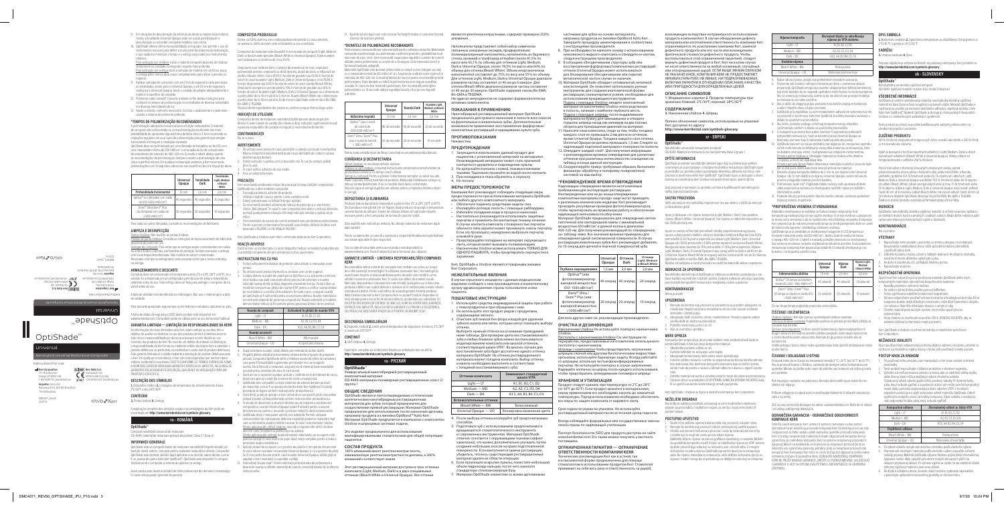OptiShade™

Instructions For Use

Universal

Nanohybrid Universal Restorative Composite

**EC REP** Kerr Italia S.r.

2797

**Kerr Corporation** 1717 W Collins Ave. Orange, CA 92867 USA 1-800-KERR-123 | kerrdental.com

**Kerr Corporation** 1717 W Collins Ave. Orange, CA 92867 USA 1-800-KERR-123 | kerrdental.com

**Kerr Italia S.r.l.**  Via Passanti, 332 84018 Scafati (SA), Italy  $5/8 + 39$  081 830 831 | ke

KAVO<sub>e</sub> Kerr

**Importer:** Ormco B.V.<br>Basicweg 20 NL-3821 BR, Amersfoort<br>The Netherlands

Via Passanti, 332 84018 Scafati (SA), Italy +39 081 850 8311 | kerrdental.com

**KAVO**<sup>-</sup>Kerr

OptiShade™

Instructions For Use

Universal

The Netherland<br>Basicweg 20 NL-3821 BR, Amersfoort<br>The Netherlands

Nanohybrid Universal Restorative Composite

DMC4071\_Rev.00 2020-03

Para aplicação por Unidose: Injete o material composto da ponta do Unidose retamente na cavidade, começando na parte mais profunda. Para aplicação por seringa: Após a extrusão do material em um bloco, recue a seringa pelos menos duas vezes completamente para aliviar a pressão no

DMC4071\_Rev.00 2020-03

- 9. Em situações de descoloração da estrutura do dente ou reparo da porcelana/ ersal Opaque pode ser usada para bloquear a descoloração ou esconder uma parte metálica, caso exista.
- 10. OptiShade oferece ótima manuseabilidade, sem grudar. Isso permite o uso de instrumentos manuais para definir a maior parte da anatomia da restauração, o que ajudará a minimizar o tempo e o esforço associados aos instrumentos rotativos.

- material. 11. Aplique camadas de composto com até 2 mm de espessura cada para todas as tonalidades, exceto para a Universal Opaque, e até 1,5 mm de espessura cada para a Universal Opaque, tendo o cuidado de adaptar adequadamente o erial à superfície da cavidade.
- 12. Polimerize cada camada\*. Consulte a tabela no fim destas instruções para conhecer os tempos de polimerização recomendados de diversas tonalidades em diversas intensidades de luz.
- 13. Ajuste a oclusão conforme necessário. Conclua o acabamento e o polimento usando o sistema de polimento preferido.

istolas de ponta Unidose: Consulte as instruções de reprocessamento do fabricante da pistola de ponta em uso. Seringas de composto: Para evitar que as seringas sejam contaminadas com saliva ou outros fluidos corporais, use barreiras de proteção. Sempre manuseie a seringa com luvas limpas/desinfectadas. Não reutilize se estiver contaminado. Recoloque a tampa na seringa após cada uso para evitar que a resina endureça na seringa.

### **\*TEMPOS DE POLIMERIZAÇÃO RECOMENDADOS**

A polimerização adequada é essencial para a função restauradora. O material de composto não polimerizado ou com polimerização insuficiente tem mais probabilidade de apresentar alguma forma de falha clínica. A Kerr recomenda as inspeções regulares em suas luzes de polimerização para garantir que estejam funcionando e forneçam a irradiação esperada. OptiShade deve ser polimerizado por uma lâmpada de halogênio ou de LED com

uma intensidade mínima de 650 mW/cm<sup>2</sup> e uma saída de luz de comprimento de onda dentro do intervalo de 400–520 nm. Consulte a tabela abaixo quanto às recomendações de polimerização. Sempre consulte a polimerização de uma única superfície oclusal. Em qualquer restauração posterior, a Kerr recomenda erizações com 10 segundos adicionais nas superfícies bucal e lingual do dente.

ações técnicas oferecidas pela Kerr, sejam verbais ou escritas, têm o objetivo de auxiliar os dentistas no uso dos produtos da Kerr. O dentista assume

**OptiShade**™ Compozit nanohibrid universal de restaurare ISO 4049: material de restaurare pe bază de polimer, Clasa 2 / Grupul

|                                                                                     | Universal<br>Opaque | Tonalidade<br>Dark | <b>Tonalidades</b><br>Light, Medium<br>e Bleach<br>White |
|-------------------------------------------------------------------------------------|---------------------|--------------------|----------------------------------------------------------|
| Profundidade incremental                                                            | $1.5$ mm            | $2.0$ mm           | $2.0$ mm                                                 |
| Optilux™ (ou lâmpada com saída<br>de 650-1.000 mW/cm <sup>2</sup> )                 | 40 segundos         | 40 segundos        | 20 segundos                                              |
| Demi™ Ultra/Demi™ Plus<br>(ou lâmpada com saída de<br>$>1.000$ mW/cm <sup>2</sup> ) | 20 segundos         | 20 segundos        | 10 segundos                                              |

Partea cu 100% aluminiu are o radioopacitate echivalentă cu cea a dentine iar partea cu 200% aluminiu este echivalentă cu cea a smalțului.

Para todas as outras lâmpadas, consulte as recomendações do fabricante.

### **LIMPEZA E DESINFECÇÃO**

Pontas Unidose: Não reutilize as pontas Unidos

turile sunt alcătuite dintr-o selecție de amestecuri de oxizi, umplutură polimerizată anterior, umplutură cu sticlă de bariu, dioxid de siliciu și trifluorură de yterbiu infuzate chimic (circa 81,5% în funcție de greutate sau 65,1% în funcție de volum în cazul nuanțelor Light, Medium, Dark și Universal Opaque, circa 78,5% în funcție de greutate sau 60% în funcție de volum în cazul nuanței Bleach White). Umpluturile anorganice sunt de până la 75% în funcție de greutate sau 55% în funcție de volum. Nuanțele Light, Medium, Dark și Universal Opaque au o dimensiune a particulelor de la 40 nm până la 6 microni. Nuanța Bleach White are o dimensiune a particulelor de la 40 nm până la 30 de microni. OptiShade conține rășini Bis-EMA, Bis-GMA și TEGDMA.

#### **ARMAZENAMENTO E DESCARTE**

pzitul dentar de restaurare nanohibrid OptiShade este destinat aplicării directe în toate clasele de cavități din măsele și dinți. Indicațiile suplimentare includ: repararea restaurărilor din porțelan/compozit și reconstituirea bonturilor.

O produto deve ser armazenado em temperatura entre 2°C e 28°C (36°F a 82°F). Se o pduto for armazenado em um refrigerador, permita que ele atinia a tem ambiente antes do uso. Todo esforço deve ser feito para proteger o composto da luz visível antes do uso. A data de validade está identificada na embalagem. Não use o material após a data

- Nu utilizați acest produs în cazul pacienților cu alergii cunoscute la meta Rășina metacrilică nepolimerizată poate cauza dermatită de contact și poate deteriora pulpa dentară.
- 2. Evitați contactul cu pielea, ochii și țesuturile moi. În caz de contact, spălați bine cu apă.
- În cazul ochilor, adresați-vă unui medic. 4. A nu se administra intern.

de validade.

Para descarte apropriado siga sempre as leis federais e estaduais aplicáveis ao país.

#### A folha de dados de segurança (SDS) deste produto está disponível em: www.kerrdental.com. Ela também pode ser obtida junto ao seu fornecedor habitual.

**GARANTIA LIMITADA — LIMITAÇÃO DA RESPONSABILIDADE DA KERR** 

- err recomandă următoarele măsuri de precautie în timpul utilizării compozitului OptiShade sau a altor materiale compozite:
- Furnizați pacientului ochelari de protecție.
- Utilizați o digă de cauciuc pentru a izola cavitatea orală.
- Evitați contaminarea cu lichide în timpul aplicării. • Se recomandă insistent utilizarea de mănuși de protecție și a unei tehnici linice "fără atingere". În cazul în care compozitul este atins cu mănuși obișnuite acrilatul poate penetra mănușile. Eliminați mănușile imediat și spălați-vă pe
- mâini. Feriți materialul de sursele de lumină ambiantă care pot declanșa polimerizarea. • Pentru a preveni contaminarea încrucișată a pacienților, vârfurile Unidose sunt destinate UTILIZĂRII LA UN SINGUR PACIENT.

todo risco e responsabilidade por danos que possam ocorrer devido ao uso incorreto dos produtos da Kerr. No caso de um defeito de material ou fabricação, a responsabilidade da Kerr limita-se, mediante critério da própria Kerr, a substituir o produto defeituoso ou parte dele, ou reembolsar o custo real do produto defeituoso. Esta garantia limitada só é válida mediante a devolução do produto defeituoso para a Kerr. Em qualquer circunstância, a Kerr não será responsável por nenhum dano ental ou resultante. EXCETO CONFORME OS TERMOS EXPRESSOS ACIMA A KERR NÃO CONCEDE NENHUMA GARANTIA EXPRESSA OU IMPLÍCITA, INCLUINDO-SE<br>GARANTIAS RELACIONADAS À DESCRIÇÃO, QUALIDADE OU ADEQUAÇÃO PARA UM PROPÓSITO ESPECÍFICO.

- individual de protecție când utilizați și manipulați aces produs.
- 2. Nu utilizați acest produs împreună cu produse care conțin eugenol. 3. Curățați dintele cu pudră din piatră ponce fără fluor și cu apă pentru a elimina orice reziduu sau pată care poate afecta procesul de selectare a nuanței. Selectați nuanța dorită pe baza diagramei prezentate mai jos. Puteți utiliza un model de compozit sau ghidul de nuanțe VITA® pentru a verifica nuanța dintelui de reconstituit și a oricărui dinte adiacent. În multe cazuri, o singură nuanță le OptiShade va fi suficientă pentru reconstituirea dintelui. Nuanța materialulu nstructiv depinde de grosimea compozitului. Nuanța selectată și modelele demonstrative trebuie să fie potrivite pentru grosimea dintelui de reconstituit:

- 4. După selectarea nuanței, izolați dintele prin metoda de izolare dorită. Pregătiți dintele utilizând instrumentele rotative dorite și tipurile de preparare actuale. Compozitul OptiShade oferă o îmbinare excelentă (efect de cameleon) care poate fi îmbunătățită suplimentar prin bizotări mici pe marginile lucrării. Dacă înlocuiți o restaurare, asigurați-vă că eliminați toate materialele reconstructive existente din zona în care lucrați.
- 6. Dacă are loc o expunere a pulpei, aplicați o cantitate mică de hidroxid de calciu, după care aplicați o bază din ionomeri de sticlă convențională. 7. OptiShade este compatibil cu toate sistemele de adezive dentare pe bază
- de metacrilat, cum ar fi un produs din familia KaVo Kerr OptiBond. Finalizați procedura de legare conform instrucțiunilor producătorului. Bacă doriți, puteți să aplicați un liner utilizând un compozit fluid de vâscozitate
- redusă și puteți să fotopolimerizați conform instrucțiunilor producătorului. 9. În situații de decolorare a structurii dintelui sau de reparare a porțelanului/
- compozitului, nuanța Universal Opaque poate fi utilizată pentru a acoperi decolorarea sau pentru a ascunde o porțiune metalică, dacă aceasta există. 10. OptiShade oferă o manipulare optimă, non-aderentă. Permite utilizarea instrumentelor de mână pentru definirea majorității anatomiei restaurării, fapt care va minimaliza durata și efortul necesar în cazul instrumentelor rotative. entru aplicarea din vârfuri Unidose: injectați compozitul din vârful Unidose
- ect în carie, începând cu partea cea mai adâncă. <u>Pentru aplicarea din seringă:</u> după extrudarea materialului pe un suport, rotiți<br>pistonul seringii în sens invers cel puțin două rotații complete, pentru a reduce
- siunea asupra materialului 11. Aplicați straturi de compozit cu o grosime de până la 2 mm pentru fiecare strat ntelor cu excepția Universal Opaque și cu o grosime de până la 1,5 mm pentru fiecare strat în cazul nuanței Universal Opaque, având grijă să adaptați corect materialul la suprafața cavității.
- 12. Polimerizați fiecare strat\*. Pentru informații privind durata de polimerizare a diverselor nuanțe la diferite intensități de lumină, consultați tabelul de la sfârșitul instrucțiunilo

#### **DESCRIÇÃO DOS SÍMBOLOS**

**1.** Dispositivo médico **2.** Limitações de temperatura de armazenamento: baixa 2°C/36°F e alta 28°C/82°F

**CONTEÚDO 3.** Ponta Unidose **4.** Seringa

A explicação completa dos símbolos usados nas embalagens da Kerr pode ser encontrada em **http://www.kerrdental.com/symbols-glossary**

# **ro - ROMÂNÂ**

#### **INFORMAȚII GENERALE**

OptiShade este un compozit dentar de restaurare nanohibrid fotopolimerizabil, pe<br>bază de răsină, estetic, conceput pentru realizarea restaurărilor directe, Compoziti bază de rășină, estetic, conceput pentru realizarea restaurărilor directe. Compozitul OptiShade este destinat utilizării după aplicarea unui strat de adeziv dentar, cum ar fi un produs din gama KaVo Kerr OptiBond™. OptiShade este disponibil în compule dose pentru compozite și sisteme de aplicare cu seringi.

Acest produs este destinat utilizării de către profesioniști din domeniul stomatologic în cazul unei populații generale de pacienți.

#### **COMPOZIȚIA PRODUSULUI**

Compozitul de restaurare este disponibil în trei nuanțe de compozit (Light, Medium, Dark) și două nuanțe speciale (Bleach White și Universal Opaque). Toate nuanțele sunt radioopace cu aluminiu de circa 250%.

> fluide corporale, folosiți materiale de protecție. Manipulați întotdeauna seringa cu mănuși curate/dezinfectate. A nu se reutiliza dacă devin contaminate. Înlocuiți capacul seringii după fiecare utilizare pentru a împiedica întărirea rășinii în seringă.

Niciunul dintre ingredientele din produs nu conține compuși farmacologic activi. **INDICAȚII DE UTILIZARE**

> Fișa cu date de securitate pentru acest produs este disponibilă la: errdental.com. Poate fi obținută și de la furnizorul dvs. obișnuit.

### **CONTRAINDICAȚII**

Nu se cunosc.

#### **AVERTISMENTE**

omandările tehnice oferite de compania Kerr, verbale sau scrise, au scopul de a oferi asistență stomatologilor în utilizarea produselor Kerr. Stomatologul își asumă toate riscurile și responsabilitatea pentru daunele care rezultă în urma utilizării incorecte a produselor Kerr. În cazul unui defect de material sau de fabricație, răspunderea companiei Kerr este limitată, la alegerea sa, la înlocuirea produsului defect sau a părții defecte a acestuia ori la rambursarea costului efect al produsului defect. Pentru a beneficia de această garanție limitată, produsul defect trebuie returnat la Kerr. Compania Kerr nu poate fi trasă la răspundere în nicio situație pentru niciun fel de daune indirecte, accidentale sau subsidiare. CU EXCEPȚIA PREVEDERILOR EXPRESE DE MAI SUS, KERR NU OFERĂ NICIO GAR EXPRESĂ SAU IMPLICITĂ, INCLUSIV NICIO GARANȚIE CU PRIVIRE LA DESCRIEREA, CALITATEA SAU ADECVAREA PRODUSULUI PENTRU UN ANUMIT SCOP.

#### **PRECAUȚII**

иверсальный наногибридный реставраци композитный материал ISO 4049: материалы полимерные реставрационные, класс 2/

Этот реставрационный материал доступен в трех оттенках етаэрациотных материал доступент.<br>ита (Light, Medium, Dark) и в двух спе оттенках (Bleach White и Universal Opaque). Все оттенки

Kerr, OptiShade și Unidose sunt mărci comerciale deținute de Kerr Corporation. **REACȚII ADVERSE**

### .<br>Dacă survine un incident grav cu acest dispozitiv medical, semnalați-l producătorulu

Наногибридный реставрационный материал OptiShade предназначен для прямого нанесения в полости всех классов на фронтальных и жевательных зубах. Дополнитель возможности применения: восстановление фарфоровых/ .<br>«Композитных реставраций и нарашивание культи зуба.

și autorității competente din țara utilizatorului și/sau pacientului.

# **INSTRUCȚIUNI PAS CU PAS**

хмпания Kerr рекомендует соблюдать следующие ме предосторожности при использовании материала OptiShade или любого другого композитного материала. • Обеспечьте пациента средствами защиты глаз. • Изолируйте ротовую полость с помощью раббердама. • Избегайте попадания воды в процессе нанесения. Настоятельно рекомендуется использовать защитны перчатки и применять бесконтактную технику лечения. В случае контакта композита с поверхностью перчаток обычного типа акрилат может проникнуть сквозь перчатку. Если это произошло, немедленно выбросьте перчатку

| Nuanțe de compozit    | Echivalent în ghidul de nuante VITA |
|-----------------------|-------------------------------------|
| Light - LT            | A1, B1, B2, C1, D2                  |
| Medium - MD           | A2, A3, C2, D3, D4                  |
| Dark - DK             | A3.5, A4, B3, B4, C3, C4            |
| Nuante accesorii      |                                     |
| Bleach White - BW     | Alb imaculat                        |
| Universal Opaque - UO | Acoperă decolorarea                 |

Выберите нужный оттенок на основании приводимой иже таблицы. Для проверки цвета восстанавлива зуба и любых ближних зубов можно воспользоваться моделированием композита или шкалой оттенков,<br>соответствующей шкале VITA®. Во многих случаях для восстановления зуба будет достаточно одного оттенка етане сполните,<br>ериала OptiShade. На оттенок рестав материала влияет толщина композита. Выбор оттенка и макета необходимо выполнять в соответствии иной восстанавливаемого зуба: **Оттенки композита Вивалент стандаре Видар**<br>шкале VITA  $Light - LT$   $A1, B1, B2, C1, D2$  $Median - MD$   $A2, A3, C2, D3, D4$  $Dark — DK$   $A3.5, A4, B3, B4, C3, C4$ 

Bleach White — BW Белоснежный Universal Opaque — UO | Блокировка изменения цвета 4. После выбора оттенка изолируйте зуб предпочитаемым

5. Подготовьте зуб с использованием предпочитаемог вращающегося стоматологического инструмента и современных инструментов. Материал OptiShade отлично сочетается с окружающими тканями (эффект хамо со кометел в этару.<br>• пеона), что можно дополнительно улучшить путем создания небольших скосов на краях подготовленной поверхности. Если выполняется замена реставрации, ,<br>убедитесь, что весь существующий реставраци материал удален из области операции. 6. Если произошло вскрытие пульпы, поместите небол объем гидроксида кальция, после чего нанесите стандартную стеклоиномерную базу. 7. Материал OptiShade совместим со всеми адгезивн

9/7/20 10:24 PM<br>9/7/20 10:24 PM

- е инструкцивни произведители:<br>При необходимости нанесите основу с использов низковязкого жидкого композита и отвердите ее светом, следуя инструкциям производителя.
- 9. В ситуациях обесцвечивания структуры зуба или восстановления фарфоровых/композитных реставраций оттенок Universal Opaque может использоваться для блокирования обесцвечивания или скрытия металлической части в случае ее наличия.
- 10. Материал OptiShade обладает оптимальной, нелипкой консистенцией. Он позволяет использовать ручные инструменты для создания анатомической формы . . .<br>ставрации, снижая время и усилия, необходи использования вращающихся инструментов. Подача с помощью Unidose: введите композитный атериал из наконечника Unidose непосредственн в полость, начиная с наиболее глубокого места. Подача с помощью шприца: после выдавливания материала на бумагу для замешивания и отведите поршень шприца назад как минимум на два полных
- оборота для прекращения давления на материал. 11. Наносите слои композита, следя за тем, чтобы толщина каждого слоя не превышала 2 мм для всех оттенков, кроме Universal Opaque. Толщина каждого слоя оттенка Universal Opaque не должна превышать 1,5 мм. Следите за надлежащей подгонкой материала к поверхности полости.
- 12. Отвердите каждый слой\*. Для получения информ о рекомендуемом времени отверждения для различны: оттенков при различных интенсивностях освещения см. таблицу в конце данной инструкции.
- 13. Скорректируйте прикус требуемым образом. Выполните финишную обработку и полировку полировочной системой на ваш выбор.

композитные материалы гораздо чаще могут приводить<br>к различным клиническим неудачам. Kerr рекомендует проводить регулярные проверки фотополимеризаторов, чтобы гарантировать их правильную работу и обеспечение надлежащей интенсивности облучения. Материал OptiShade предназначен для отверждения светом

галогенной или светодиодной лампы с минимальной<br>мощностью 650 мВт/см<sup>2</sup> и длиной волны в диапазоне

400–520 нм. Для получения рекомендаций по отверждению см. таблицу ниже. Все значения времени приведены для отверждения одной окклюзионной поверхности. В случае реставрации жевательных зубов Kerr рекомендует добавлять по 10 секунд для щечной и язычной поверхностей зуба.

<u>Наконечники Unidose</u> Не используйте повторно наконечники<br>Unidose. Пистолеты с наконечником Unidose См. инструкции по

13. Ajustați ocluzia după cum este necesar. Încheiați finisarea și lustruirea folosind sistemul de lustruire preferat.

### **\*DURATELE DE POLIMERIZARE RECOMANDATE**

Шприцы с композитом Чтобы предотвратить загрязнени <u>н кистинисты.</u><br>В слюной или другими биологическими жидкостями организма, используйте барьерную защиту. Всегда работайте со шприцем, используя чистые/дезинфицированные перчатки. Не используйте повторно в случае загрязнения. Надевайте колпачок на шприц после каждого использования, чтобы предотвратить затвердевание полимера в шприце.

Срок годности указан на упаковке. Не используйте ионный материал после истечения срока годности

Polimerizarea corespunzătoare este esențială pentru calitatea restaurării. Materialele compozite nepolimerizate sau polimerizate insuficient prezintă o probabilitate mult mai mare de eșec clinic. Kerr recomandă inspectarea regulată a surselor de lumină utilizate pentru polimerizare, cu scopul de a vă asigura că funcționează corect și

furnizează radianța așteptată. Materialul OptiShade este destinat polimerizării cu lampă cu bec halogen sau led, cu o intensitate minimă de 650 mW/cm<sup>2</sup> și o lungime de undă de ieșire cuprinsă în tervalul de 400–520 nm. Consultați tabelul de mai jos pentru recomandări privind polimerizarea. Toate duratele se referă la polimerizarea unei singure suprafețe ocluzale. În cazul oricăror restaurări posterioare, Kerr recomandă prelungirea polimerizărilor cu 10 secunde atât pe suprafața bucală, cât și pe cea linguală a dintelui.

1. Медицинское изделие 2. Пределы темпе хранении: Нижний: 2°C/36°F; верхний: 28°C/82°F

ptiShade je estetski nanohibridni dentalni ispun koji se polimerizuje svetlom, a namenjen je za postavljanje u slučajevima direktne restauracije. OptiShade ispun je predviđen za upotrebu nakon postavljanja dentalnog adheziva, kao što je neki proizvod iz asortimana KaVo Kerr OptiBond™. OptiShade ispun je dostupan u okviru sistema za nanošenje putem Unidose kompozitnih kompula i putem šprica.

### **CURĂȚAREA ȘI DEZINFECTAREA**

Vârfuri Unidose: nu reutilizați vârfurile Unidose. Pistoale cu vârf Unidose: consultați instrucțiunile privind prelucrarea furniz producătorul pistolului cu vârf pe care îl utilizați. Seringi cu compozit: Pentru a preveni contaminarea seringilor cu salivă sau alte

> spuni se sastoje od hemijski pomešanih oksida, prepolimerizovanog ispu ispuna sa barijumskim staklom, silicijum dioksida i iterbijum trifluorida (oko 81,5% prema težini ili 65,1% prema zapremini za nijanse Light, Medium, Dark i Universal Opaque, oko 78,5% prema težini ili 60% prema zapremini za nijansu Bleach White). Neorganski ispun zauzima do 75% prema težini ili 55% prema zapremini. Nijanse ight, Medium, Dark i Universal Opaque imaju opseg veličina čestica od 40 nm do 6 mikrona. Nijansa Bleach White ima opseg veličina čestica od 40 nm do 30 mikrona. OptiShade sadrži smole Bis-EMA, Bis-GMA i TEGDMA.

#### **DEPOZITAREA ȘI ELIMINAREA**

Produsul trebuie depozitat la temperaturi cuprinse între 2°C și 28°C (36°F și 82°F). Dacă produsul este păstrat într-un frigider, lăsați produsul să ajungă la temperatura camerei înainte de utilizare. Înainte de utilizare, trebuie să luați toate măsurile necesare pentru a feri compozitul de lumina din spectrul vizibil.

Data expirării este indicată pe ambalaj. Nu utilizați materialul de restaurare după data expirării.

> mpanija Kerr preporučuje da se prate sledeće mere predostrožnosti kada se koriste OptiShade ili bilo koji drugi kompozitni materijal: • Obezbedite pacijentu zaštitu za oči.

Pentru scoaterea din uz corectă a produsului, respectați întotdeauna legile federale sau statale aplicabile în țara respectivă.

### **GARANȚIE LIMITATĂ – LIMITAREA RESPONSABILITĂȚII COMPANIEI KERR**

puna objašnjenja simbola korišćenih na pakovanju kompanije Kerr potražite na **http://www.kerrdental.com/symbols-glossary**

|                                                                                    | Universal<br>Opague | Nuanta Dark   | Nuantele Light.<br>Medium si Bleach<br>White | активных компонентов.<br>ПОКАЗАНИЯ К ПРИМ                                 |
|------------------------------------------------------------------------------------|---------------------|---------------|----------------------------------------------|---------------------------------------------------------------------------|
| Adâncime treptată                                                                  | $1.5$ mm            | $2.0$ mm      | $2.0$ mm                                     | Наногибридный реставр<br>предназначен для прямо                           |
| Optilux™ (sau o sursă<br>de lumină de<br>650-1000 mW/cm <sup>2</sup> )             | 40 de secunde       | 40 de secunde | 20 de secunde                                | на фронтальных и жеват<br>возможности применени<br>композитных реставраци |
| Demi™ Ultra / Demi™ Plus<br>(sau o sursă de lumină<br>$>1000$ mW/cm <sup>2</sup> ) | 20 de secunde       | 20 de secunde | 10 secunde                                   | <b>ПРОТИВОПОКАЗАНІ</b><br>Неизвестны.                                     |
|                                                                                    |                     |               |                                              | <b>ПРЕДУПРЕЖДЕНИЯ</b>                                                     |

Pentru toate celelalte tipuri de lămpi, consultați recomandarea producătoru

### **DESCRIEREA SIMBOLURILOR**

Výplň je dostupná v troch kompozitných odtieňoch (Light, Medium, Dark) a dvoch ciálnych odtieňoch (Bleach White a Universal Opaque). Všetky odtiene sú

**1.** Dispozitiv medical **2.** Limite privind temperatura de depozitare: minimum 2°C/36°F și maximum 28°C/82°F

# **CONȚINUT**

**3.** Vârf Unidose **4.** Seringă

Explicațiile complete ale simbolurilor folosite pe ambalajele Kerr se află la **http://www.kerrdental.com/symbols-glossary**

### **ru - РУССКИЙ OptiShade**™

группа 1

# **ОБЩИЕ СВЕДЕНИЯ**

OptiShade является светоотверждаемым эстетическим .<br>интетическим наногибридным реставрационным: материалом для зубов, который предназначен для осуществления прямой реставрации. Материал OptiShade предназначен для использования после нанесения адгезива, например продукта из линейки OptiBond™ KaVo Kerr. Материал OptiShade предлагается в компьюлах с композитом Unidose и шприцевых системах подачи.

Nepoužívajte tento produkt u pacientov so známou alergiou na metakrylá Nevytvrdená metakrylátová živica môže spôsobiť kontaktnú dermatitídu

Это изделие предназначено для использования квалифицированными стоматологами для общей популяции пациентов.

ooločnosť Kerr odporúča počas používania materiálu OptiShade alebo iných kompozitných materiálov vykonať tieto bezpečnostné opatrenia: • Nasaďte pacientovi ochranné okuliare. • Na izoláciu ústnej dutiny použite gumový kofferdam. • Počas vyplňovania zabráňte kontaminácii kvapalinami.

### **СОСТАВ ПРОДУКТА**

100% алюминий имеет рентгеноконтрастность, эквивалентную рентгеноконтрастности дентина, а 200% алюминий соответствует эмали.

zabránilo krížovej kontaminácii medzi pacientmi. Kerr, OptiShade a Unidose sú ochranné známky vo vlastníctve spoločnost

Ak pri používaní tejto zdravotníckej pomôcky dôjde k vážnemu incidentu, oznámte t výrobcovi a príslušnému orgánu krajiny, v ktorej sídli používateľ a/alebo pacient.

Pri používaní tohto produktu a pri manipulácii s ním noste osobné ochrann

являются рентгеноконтрастными, содержат примерно 250% алюминия.

> .<br>Tento produkt nepoužívajte v blízkosti produktov s obsahom eugenolu 3. Vyčistite zub nefluorizovanou pemzou a vodou, aby sa odstránili všetky zvyšky alebo škvrny, ktoré môžu prekážať pri výbere vhodného odtieňa. Požadovaný odtieň vyberte podľa nižšie uvedenej tabuľky. Pri kontrole farby zuba, ktorý sa bude vypĺňať, a susediacich zubov vám môže pomôcť kompozitný model alebo pomôcka zodpovedajúca škále odtieňov VITA®. V mnohých prípadoch postačuje na výplň zuba jeden odtieň materiálu OptiShade. Odtieň výplňového materiálu závisí od hrúbky kompozitu. Výber odtieňa a modely by

Наполнители представляют собой набор химически связанных смешанных оксидов, предварительно полимеризованный наполнитель, наполнитель из бариевого стекла, кремний и трифторид иттербия (около 81,5% по массе или 65,1% по объему для оттенков Light, Medium, Dark и Universal Opaque, около 78,5% по массе или 60% по объему для оттенка Bleach White). Объем неорганически наполнителей составляет до 75% по весу или 55% по объему. Для оттенков Light, Medium, Dark и Universal Opaque диапазон размеров частиц составляет от 40 нм до 6 микрон. Для оттенка Bleach White диапазон размеров частиц составля от 40 нм до 30 микрон. OptiShade содержит смолы Bis-EMA, Bis-GMA и TEGDMA.

> Bleach White – BW Bieliaca biela Universal Opaque – UO Blokovanie zmeny farby Po výbere odtieňa izolujte zub izolačnou metódou podľa vlastného výber 5. Pripravte zub rotačnými nástrojmi podľa vlastného výberu a použite súčasné metódy prípravy. Materiál OptiShade výborne farebne splýva (efekt chameleóna). Splývanie možno ďalej vylepšiť vytvorením malých zbrúsených plôch na okrajoch pripravenej oblasti. Pri výmene výplne sa uistite, že ste odstránili všetok

Ни один из ингредиентов не содержит фармакологически активных компонентов.

### **ПОКАЗАНИЯ К ПРИМЕНЕНИЮ**

### **ПРОТИВОПОКАЗАНИЯ**

1. Запрещается использовать данный продукт для пациентов с установленной аллергией на метакрилат Незатвердевший метакрилат может стать причиной контактного дерматита и повреждения пульпы. 2. Не допускайте контакта с кожей, глазами и мягкими тканями. Тщательно промойте их водой после контакта. 3. При попадании в глаза обратитесь к окулисту.

4. Не глотать!

**МЕРЫ ПРЕДОСТОРОЖНОСТИ**

- za restatnacija sa radne povisnic.<br>Ako je došlo do izlaganja pulpe, postavite malu količinu kalcijum hidroksida a zatim i klasičnu bazu od glas-jonomera.
- 7. OptiShade je kompatibilan sa svim metakrilatnim adhezivnim sistemima kao što su proizvodi iz asortimana KaVo Kerr OptiBond. Dovršite proceduru vezivanja u skladu sa uputstvima proizvođača.
- 
- 8. Ako želite, postavite podlogu od tečnog kompozita malog viskoziteta i polimerizujte svetlom u skladu sa uputstvima proizvođača. 9. U slučajevima promene boje zubne strukture ili popravke porcelanskih/
- kompozitnih restauracija, može se koristiti nijansa Universal Opaque za
- blokiranje promene boje ili sakrivanje metalnog dela ako postoji. . OptiShade ispunom se rukuje optimalno, bez lepljenja. On omogućava upotreb ručnih instrumenata za definisanje većeg dela anatomije za restauraciju, čime
- se dodatno smanjuju vreme i trud povezani sa rotirajućim instrumentima. Primena putem Unidose-a: Ubrizgajte materijal sa Unidose vrha direktno šupljinu, počevši od najdubljeg dela. Primena pomoću šprica: Nakon izbacivanja materijala na pločicu, povucite špric
- **bar za dva puna okreta kako biste smanjili pritisak na materijal.** Nanesite slojeve kompozita debljine do 2 mm za sve nijanse osim U
- Opaque i do 1,5 mm debljine za nijansu Universal Opaque, vodeći računa da no prilagodite materijal površini kaviteta. Polimerizujte svaki sloj\*. Pogledajte tabelu na kraju ovih uputstava da biste
- videli preporučena vremena za stvrdnjavanje različitih nijansi pri različitim
- intenzitetima svetla. 13. Podesite okluziju prema potrebi. Obavite završnu obradu i poliranje upotrebom željenog sistema za poliranje.

Adekvatno stvrdnjavanje je najbitnije za funkcionisanje restauracije. Kod kompozitnog materijala koji se nije uopšte stvrdnuo ili se nije stvrdnuo u potpunosti je znatno veća verovatnoća da će ispoljiti neku vrstu kliničkog neuspeha. Kompanija kerr preporučuje da redovno proveravate lampe za stvrdnjavanje kako biste se uveril da funkcionišu ispravno i obezbeđuju očekivano zračenje. OptiShade ispun je predviđen za stvrdnjavanje halogenim ili LED lampama uz minimalni intenzitet svetla od 650 mW/cm2 i dužinu izlaznih svetlosnih talasa i opsegu 400–520 nm. U tabeli u nastavku potražite preporuke za stvrdnja remena se odnose na jedno stvrdnjavanje okluzalne površine. Kod posteriorn restauracije, kompanija Kerr preporučuje dodatnih 10 sekundi stvrdnjavanja i na kalnoj i na lingvalnoj površini zuba.

и вымойте руки.

• Предотвращайте попадание на материал окружающего света, который может вызывать полимеризацию. • Наконечники Unidose можно использовать ТОЛЬКО ДЛЯ ОДНОГО ПАЦИЕНТА, чтобы предотвратить перекрестное заражение.

Kerr, OptiShade и Unidose являются товарными знаками

Kerr Corporation.

**НЕЖЕЛАТЕЛЬНЫЕ ЯВЛЕНИЯ**

В случае серьезного инцидента с данным медицинским ием сообщите о нем производителю и комп органу здравоохранения страны пользователя и/или

пациента.

**ПОШАГОВЫЕ ИНСТРУКЦИИ** 

1. Используйте средства индивидуальной защиты при работе

с этим продуктом и при обращении с ним. 2. Не используйте этот продукт рядом с продуктами,

содержащими эвгенол.

<u>Špricevi sa kompozitom:</u> Da biste sprečili kontaminaciju špriceva pljuvačkom ili<br>drugim telesnim tečnostima, koristite zaštitne pregrade. Uvek rukujte špricevima<br>u čistim/dezinfikovanim rukavicama. Nemojte da ga ponovo ko kontaminira.

3. Очистите зуб пемзой без фтора и водой для удаления

зубного налета или пятен, которые могут помешать выбору

оттенка.

SDS za ovaj proizvod je dostupan na adresi: www.kerrdental.com. Može da se nabavi od vašeg uobičajenog dobavljača.

**Вспомогательные оттенки**

Tehnički saveti kompanije Kerr, usmeni ili pismeni, namenjeni su kao por stomatolozima pri korišćenju proizvoda kompanije Kerr. Stomatolog snosi sav rizik i odgovornost za štetu nastalu usled nepravilne upotrebe proizvoda kompanije Kerr. U slučaju neispravnosti materijala ili izrade odgovornost kompanije Kerr je oraničena, po nahođenju kompanije Kerr, na zamenu neispravnog r njegovog dela ili na nadoknadu cene plaćene za neispravan proizvod. Da bi se iskoristila ova ograničena garancija, potrebno je da se neispravan proizvod vrati kompaniji Kerr. Kompanija Kerr neće ni u kom slučaju biti odgovorna za bilo kakve indirektne, slučajne ili posledične štete. OSIM GORE NAVEDENOG, KOMPANIJA KERR NE PRUŽA NIKAKVE GARANCIJE, IZRIČITE ILI PODRAZUMEVANE, UKLJUČUJUĆI GARANCIJE I I VEZI SA OPISOM, KVALITETOM ILI ADEKVATNOŠĆI I ZA ODREĐENI I UPOTREBU.

способом.

системами для зубов на основе метакрилата, например продуктов из линейки OptiBond KaVo Kerr. Завершите процедуру цементирования в соответствии с инструкциями производителя.

# **\*РЕКОМЕНДУЕМОЕ ВРЕМЯ ОТВЕРЖДЕНИЯ**

Надлежащее отверждение является неотъемлемым требованием для эксплуатации реставрации. Неотвержденные или не до конца отвержденные

|                                                                                                              | <b>Universal</b><br>Opaque | Оттенок<br>Dark | Оттенки<br>Light, Medium<br>и Bleach White |
|--------------------------------------------------------------------------------------------------------------|----------------------------|-----------------|--------------------------------------------|
| Глубина наращивания                                                                                          | 1.5 MM                     | 2.0 MM          | 2.0 MM                                     |
| Optilux™ (или<br>фотополимеризатор<br>выходной мощностью<br>650-1000 MBT/CM <sup>2</sup> )                   | 40 секунд                  | 40 секунд       | 20 секунд                                  |
| Demi™ Ultra /<br>Demi™ Plus (или<br>фотополимеризатор<br>выходной мощностью<br>$>1000$ MBT/CM <sup>2</sup> ) | 20 секунд                  | 20 секунд       | 10 секунд                                  |

Для всех других ламп см. рекомендации производителя.

### **ОЧИСТКА И ДЕЗИНФЕКЦИЯ**

переработке, предоставляемые изготовителем используемого пистолета с наконечником.

### **ХРАНЕНИЕ И УТИЛИЗАЦИЯ**

Продукт следует хранить при температуре от 2°C до 28°C (от 36°F до 82°F). Если продукт хранится в холодильнике, перед применением его необходимо нагреть до комнатной температуры. Перед использованием необходимо обеспечить все меры по защите композита от видимого света.

Всегда соблюдайте федеральные или государственные законы своей страны по надлежащей утилизации.

Паспорт безопасности (SDS) для продукта доступен на сайте www.kerrdental.com. Его также можно получить у местного поставщика.

#### **ОГРАНИЧЕННАЯ ГАРАНТИЯ — ОГРАНИЧЕНИЕ ОТВЕТСТВЕННОСТИ КОМПАНИИ KERR**  Технические рекомендации Kerr как в устной, так

и в письменной форме предназначены для помощи стоматологам в использовании продуктов Kerr. Стоматолог принимает на себя весь риск и ответственность за ущерб,

возникающие вследствие неправильного использования продукта компании Kerr. В случае обнаружения дефекта материала или изготовления ответственность компании Ker ограничивается, по усмотрению компании Kerr, заменой дефектного продукта или его части или возмеще фактической стоимости дефектного продукта. Чтобы воспользоваться этой ограниченной гарантией, следует вернуть дефектный продукт в Kerr. Kerr ни в коем случае не несет ответственности за любой косвенный, случайны или опосредованный ущерб. ЕСЛИ ВЫШЕ ЯВНЫМ ОБРАЗОМ<br>НЕ УКАЗАНО ИНОЕ, КОМПАНИЯ KERR НЕ ПРЕДОСТАВЛЯЕТ<br>НИКАКИХ ГАРАНТИЙ, НИ ЯВНЫХ, НИ ПОДРАЗУМЕВАЕМЫХ, ВКЛЮЧАЯ ГАРАНТИИ В ОТНОШЕНИИ ОПИСАНИЯ, КАЧЕСТВА ИЛИ ПРИГОДНОСТИ ДЛЯ ОПРЕДЕЛЕННЫХ ЦЕЛЕЙ.

### **ОПИСАНИЕ СИМВОЛОВ**

## **СОДЕРЖАНИЕ**

**3.** Наконечник Unidose **4.** Шприц

Полное объяснение символов, используемых на упаковке Kerr, доступно по адресу **http://www.kerrdental.com/symbols-glossary**

# **sr - SRPSKI**

#### **OptiShade**™

Nanohibridni univerzalni restaurativni kompozit ISO 4049: Materijal za restauraciju na bazi polimera, klasa 2/grupa 1

### **OPŠTE INFORMACIJE**

Ovaj proizvod je namenjen za upotrebu od strane kvalifikovanih stomatologa na opštoj populaciji pacijenata.

### **SASTAV PROIZVODA**

100% aluminijum ima radiološku neprozirnost istu kao dentin, a 200% aluminijum je ekvivalentan gleđi.

Ispun je dostupan u tri nijanse kompozita (Light, Medium, Dark) i dve posebne nijanse (Bleach White i Universal Opaque). Sve nijanse su radiološki neprozirne uz oko 250% aluminijuma.

Nijedan od sastojaka u ovom proizvodu ne sadrži farmakološki aktivne supstance. **INDIKACIJE ZA UPOTREBU**

Nanohibridni dentalni ispun OptiShade je indikovan za direktno postavljanje u sve klase kaviteta na prednjim i zadnjim zubima. Dodatne indikacije uključuju: popravku porcelanskih/kompozitnih restauracija i nadgradnju zubne supstance.

#### **KONTRAINDIKACIJE** Nema poznatih.

#### **UPOZORENJA**

- 1. Nemojte da koristite ovaj proizvod na pacijentima sa poznatim alergijama na metakrilate. Nepolimerizovana metakrilatna smola može izazvati kontaktni dermatitis i oštetiti pulpu.
- 2. Izbegavajte dodir sa kožom, očima i mekim tkivom. Temeljno isperite vodom ukoliko dođe do dodira sa proizvodom. .<br>3. pomoć za oč
- 4. Nije za unutrašnju upotrebu.

### **MERE OPREZA**

- Koristite koferdam za izolovanje usne duplje.
- Izbegavajte kontaminaciju tečnostima tokom postavljanja.
- Koristite zaštitne rukavice, a izričito se preporučuje korišćenje kliničke tehnike bez dodirivanja. Ako dodirnete kompozit rukavicama koje se obično koriste, akrilat može da prodre u rukavicu. Odmah odbacite rukavicu u otpad i operite ruke.
- Zaštitite materijal od svetla u okruženju koje bi moglo da pokrene polimerizaciju. Unidose vrhovi su predviđeni ZA UPOTREBU SAMO NA JEDNOM PACIJENTU kako bi se sprečila unakrsna kontaminacija između pacijenata.
- Kerr, OptiShade i Unidose su žigovi u vlasništvu kompanije Kerr Corporation.

### **NEŽELJENI DOGAĐAJI**

kko dođe do ozbiljnog incidenta povezanog sa ovim medicinskim sre prijavite ga proizvođaču i nadležnom organu za zemlju u kojoj se korisnik i/ili pacijent nalaze

### **POSTUPNO UPUTSTVO**

1. Nosite ličnu zaštitnu opremu kada koristite ovaj proizvod i rukujete njime. nojte da koristite ovaj proizvod u blizini proizvoda koji sadrže eugen 3. Očistite zub koristeći nefluorisani plovućac i vodu da biste uklonili sve mrlje

ostatke koji bi mogli da ometu proces izbora nijanse. Odaberite željenu nijansu na osnovu grafikona navedenog u nastavku. Možete da upotrebite kompozitni model ili ključ za određivanje nijanse po VITA® sistemu da biste proverili boju zuba koji se restaurira, kao i okolnih zuba. U mnogim slučajevima će jedna nijansa OptiShade ispuna biti dovoljna za restauraciju zuba. Na nijansu materijala za restauraciju utiče debljina kompozita. Opcije za nse i modeli moraju da se podudaraju sa debljinom zuba koji se restaurira

#### **OPIS SIMBOLA**

**1.** Medicinsko sredstvo **2.** Ograničenja temperature za skladištenje: Donja granica je 2 °C/36 °F, a gornja je 28 °C/82 °F

## **SADRŽAJ**

**3.** Unidose nastavak **4.** Špric

# **sk - SLOVENSKY**

**OptiShade**™ anohybridný univerzálny výplňový kompozit ISO 4049: Výplňový materiál na báze živíc, trieda 2/skupina 1

#### **VŠEOBECNÉ INFORMÁCIE**

Tento produkt je určený na použitie kvalifikovanými zubnými profesionálmi na všeobecnej populácii pacientov.

**ZLOŽENIE PRODUKTU**

má rovnakú ako sklovina

100 % hliník má priepustnosť röntgenových lúčov rovnakú ako dentín a 200 % hliník

röntgenkontrastné s približne 250 % hliníkom.

lotiShade je svetlom vytvrdzovaný estetický nanohybridný dentálny výplňov materiál na báze živice určený na aplikáciu priamych výplní. Materiál OptiShade je navrhnutý na použitie po nanesení dentálneho adhezíva, napríklad výrobku z línie KaVo Kerr OptiBond™. Materiál OptiShade je dostupný v kompozitných kompulách Inidose a v striekačkových aplikačných systémoch

Plnivá tvorí výber z chemicky lúhovaných zmiešaných oxidov, vopred polymerizovaného plniva, plniva z báriového skla, oxidu kremičitého a fluoridu terbitého (približne 81,5 % hmotnosti alebo 65,1 % objemu pri odtieňoch Light, edium, Dark a Universal Opaque a približne 78,5 % hmotnosti alebo 60 % objemu pri odtieni Bleach White). Obsah anorganických plnív je max. 75 % hmotnosti alebo 55 % objemu. Odtiene Light, Medium, Dark a Universal Opaque majú rozsah veľkosti častíc 40 nm až 6 mikrónov. Odtieň Bleach White má rozsah veľkosti častíc 40 nm až 30 mikrónov. Materiál OptiShade obsahuje živice Bis-EMA, Bis-GMA a TEGDMA. Žiadna zo zložiek produktu neobsahuje farmakologicky účinné látky.

**INDIKÁCIE**

OptiShade, nanohybridný dentálny výplňový materiál, je určený na priamu aplikáciu do všetkých druhov kavít na predných i zadných zuboch. Medzi ďalšie indikácie patrí:

oprava porcelánových/kompozitných výplní a dostavieb.

**KONTRAINDIKÁCIE** Nie sú známe. **VÝSTRAHY**

a poškodiť zubnú dreň.

2. Zabráňte kontaktu s kožou, očami a mäkkým tkanivom. Ak dôjde ku kontaktu,

zasiahnuté miesto dôkladne oplachujte vodou. 3. Ak došlo k zasiahnutiu očí, vyhľadajte lekársku pomoc.

4. Nepoužívajte vnútorne. **BEZPEČNOSTNÉ OPATRENIA**

> • Dôrazne odporúčame používať ochranné rukavice a bezdotykové techniky. Ak sa kompozitu budete dotýkať bežnými rukavicami, môže dôjsť k penetrácii akrylátu

.<br>Hroty Unidose sú navrhnuté na použitie LEN U JEDNÉHO PACJENTA, aby sa

cez rukavice. Okamžite zlikvidujte rukavice a umyte si ruky. • Chráňte materiál pred okolitým svetlom, ktoré môže spustiť proces

polymerizácie.

Kerr Corporation. **NEŽIADUCE UDALOSTI**

**POSTUP KROK ZA KROKOM** 

Medium – MD

mali zodpovedať hrúbke zuba, ktorý sa bude vypĺňať:

**Kompozitné odtiene Ekvivalentný odtieň zo škály VITA** Light – LT A1, B1, B2, C1, D2

Dark – DK A3.5, A4, B3, B4, C3, C4

**Doplnkové odtiene**

triedky.

prítomný výplňový materiál z pracovnej oblasti.

6. Ak dôjde k odhaleniu drene, naneste malé množstvo hydroxidu vápenatého a pokračujte aplikovaním konvenčnej podložky zo skloionoméru.

| Nijanse kompozita     | Ekvivalent ključu za određivanje<br>nijanse po VITA sistemu |
|-----------------------|-------------------------------------------------------------|
| $Light - LT$          | A1, B1, B2, C1, D2                                          |
| Medium - MD           | A2, A3, C2, D3, D4                                          |
| Dark - DK             | A3.5, A4, B3, B4, C3, C4                                    |
| Dodatne nijanse       |                                                             |
| Bleach White - BW     | Blistavo bela                                               |
| Universal Opaque - UO | Blokiranje promene boje                                     |

#### 4. Nakon izbora nijanse, izolujte zub preferiranom metodom izolovanja. 5. Pripremite zub koristeći rotirajuće elemente po izboru i savremene dizajne

preparacija. OptiShade omogućava izuzetno uklapanje boje (efekat kameleona), koji može dodatno da se unapredi upotrebom malih kosina na ivicama pripreme. Ako se zamenjuje restauracija, uverite se da ste uklonili sav postojeći materijal za restauraciju sa radne površine.

### **\*PREPORUČENA VREMENA STVRDNJAVANJA**

|                                                                                              |                     |                        | Nijanse Light,           |
|----------------------------------------------------------------------------------------------|---------------------|------------------------|--------------------------|
|                                                                                              | Universal<br>Opaque | Nijansa<br><b>Dark</b> | Medium<br>i Bleach White |
| Inkrementalna dubina                                                                         | $1.5$ mm            | $2.0$ mm               | $2.0$ mm                 |
| Optilux™ (ili lampa sa izlaznom<br>vrednošću 650-1000 mW/cm <sup>2</sup> )                   | 40 sekundi          | 40 sekundi             | 20 sekundi               |
| Demi™ Ultra / Demi™ Plus<br>(ili lampa sa izlaznom vrednošću<br>$>1000$ mW/cm <sup>2</sup> ) | 20 sekundi          | 20 sekundi             | 10 sekundi               |

Za sve druge lampe pogledajte preporuku proizvođača

#### **ČIŠĆENJE I DEZINFEKCIJA**

Unidose nastavci: Nemojte ponovo upotrebljavati Unidose nastavke. Pištolji za Unidose nastavke: Pogledajte uputstva za preradu proizvođača pištolja za nastavke koji koristite.

Vratite poklopac šprica nakon svake upotrebe kako biste sprečili stvrdnjavanje smole unutar šprica.

## **ČUVANJE I ODLAGANJE U OTPAD**

Proizvodi treba da se čuvaju na temperaturi između 2 °C i 28 °C (od 36 °F do 82 °F). Ako je proizvod boravio u frižideru, sačekajte da dostigne sobnu temperaturu pre upotrebe. Morate da uložite svaki napor da zaštitite ovaj kompozit od vidljivog svetla pre upotrebe.

Rok trajanja je naznačen na pakovanju. Nemojte da koristite ispun nakon što mu istekne rok trajanja.

Prilikom odlaganja na otpad uvek se pridržavajte federalnih ili državnih zakona koji važe u toj zemlji.

#### **OGRANIČENA GARANCIJA – OGRANIČENJE ODGOVORNOSTI KOMPANIJE KERR**